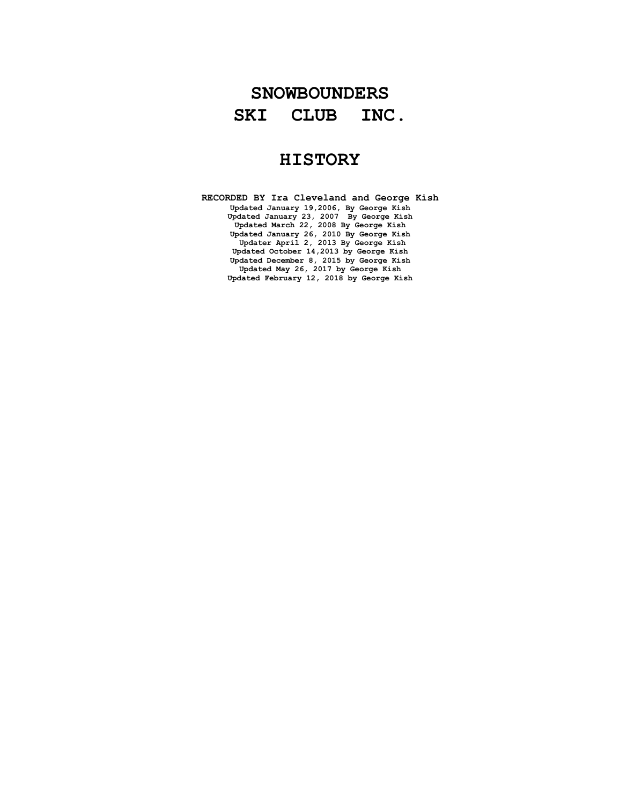# **SNOWBOUNDERS SKI CLUB INC.**

# **HISTORY**

**RECORDED BY Ira Cleveland and George Kish Updated January 19,2006, By George Kish Updated January 23, 2007 By George Kish Updated March 22, 2008 By George Kish Updated January 26, 2010 By George Kish Updater April 2, 2013 By George Kish Updated October 14,2013 by George Kish Updated December 8, 2015 by George Kish Updated May 26, 2017 by George Kish Updated February 12, 2018 by George Kish**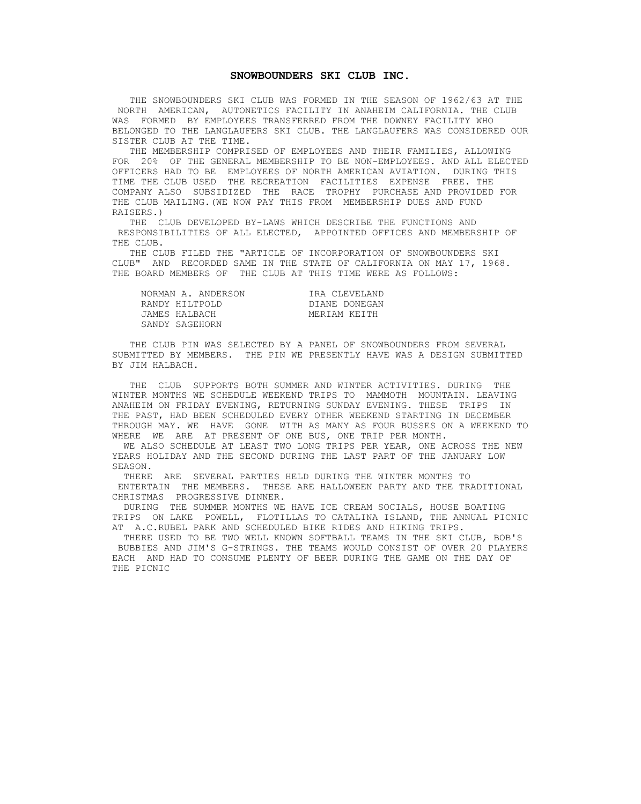#### **SNOWBOUNDERS SKI CLUB INC.**

 THE SNOWBOUNDERS SKI CLUB WAS FORMED IN THE SEASON OF 1962/63 AT THE NORTH AMERICAN, AUTONETICS FACILITY IN ANAHEIM CALIFORNIA. THE CLUB WAS FORMED BY EMPLOYEES TRANSFERRED FROM THE DOWNEY FACILITY WHO BELONGED TO THE LANGLAUFERS SKI CLUB. THE LANGLAUFERS WAS CONSIDERED OUR SISTER CLUB AT THE TIME.

 THE MEMBERSHIP COMPRISED OF EMPLOYEES AND THEIR FAMILIES, ALLOWING FOR 20% OF THE GENERAL MEMBERSHIP TO BE NON-EMPLOYEES. AND ALL ELECTED OFFICERS HAD TO BE EMPLOYEES OF NORTH AMERICAN AVIATION. DURING THIS TIME THE CLUB USED THE RECREATION FACILITIES EXPENSE FREE. THE COMPANY ALSO SUBSIDIZED THE RACE TROPHY PURCHASE AND PROVIDED FOR THE CLUB MAILING.(WE NOW PAY THIS FROM MEMBERSHIP DUES AND FUND RAISERS.)

 THE CLUB DEVELOPED BY-LAWS WHICH DESCRIBE THE FUNCTIONS AND RESPONSIBILITIES OF ALL ELECTED, APPOINTED OFFICES AND MEMBERSHIP OF THE CLUB.

 THE CLUB FILED THE "ARTICLE OF INCORPORATION OF SNOWBOUNDERS SKI CLUB" AND RECORDED SAME IN THE STATE OF CALIFORNIA ON MAY 17, 1968. THE BOARD MEMBERS OF THE CLUB AT THIS TIME WERE AS FOLLOWS:

| NORMAN A. ANDERSON | IRA CLEVELAND |
|--------------------|---------------|
| RANDY HILTPOLD     | DIANE DONEGAN |
| JAMES HALBACH      | MERIAM KEITH  |
| SANDY SAGEHORN     |               |

 THE CLUB PIN WAS SELECTED BY A PANEL OF SNOWBOUNDERS FROM SEVERAL SUBMITTED BY MEMBERS. THE PIN WE PRESENTLY HAVE WAS A DESIGN SUBMITTED BY JIM HALBACH.

 THE CLUB SUPPORTS BOTH SUMMER AND WINTER ACTIVITIES. DURING THE WINTER MONTHS WE SCHEDULE WEEKEND TRIPS TO MAMMOTH MOUNTAIN. LEAVING ANAHEIM ON FRIDAY EVENING, RETURNING SUNDAY EVENING. THESE TRIPS IN THE PAST, HAD BEEN SCHEDULED EVERY OTHER WEEKEND STARTING IN DECEMBER THROUGH MAY. WE HAVE GONE WITH AS MANY AS FOUR BUSSES ON A WEEKEND TO WHERE WE ARE AT PRESENT OF ONE BUS, ONE TRIP PER MONTH.

 WE ALSO SCHEDULE AT LEAST TWO LONG TRIPS PER YEAR, ONE ACROSS THE NEW YEARS HOLIDAY AND THE SECOND DURING THE LAST PART OF THE JANUARY LOW SEASON.

 THERE ARE SEVERAL PARTIES HELD DURING THE WINTER MONTHS TO ENTERTAIN THE MEMBERS. THESE ARE HALLOWEEN PARTY AND THE TRADITIONAL CHRISTMAS PROGRESSIVE DINNER.

 DURING THE SUMMER MONTHS WE HAVE ICE CREAM SOCIALS, HOUSE BOATING TRIPS ON LAKE POWELL, FLOTILLAS TO CATALINA ISLAND, THE ANNUAL PICNIC AT A.C.RUBEL PARK AND SCHEDULED BIKE RIDES AND HIKING TRIPS.

 THERE USED TO BE TWO WELL KNOWN SOFTBALL TEAMS IN THE SKI CLUB, BOB'S BUBBIES AND JIM'S G-STRINGS. THE TEAMS WOULD CONSIST OF OVER 20 PLAYERS EACH AND HAD TO CONSUME PLENTY OF BEER DURING THE GAME ON THE DAY OF THE PICNIC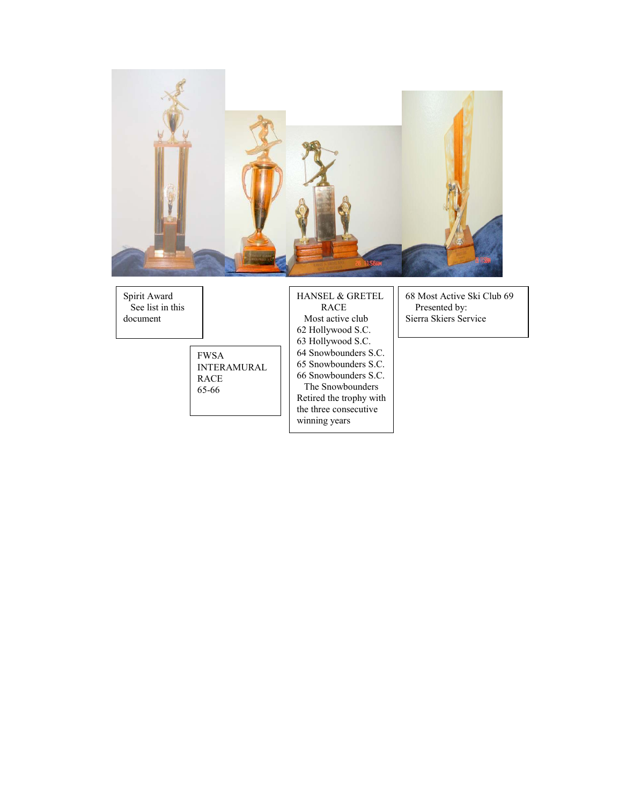

Spirit Award See list in this document

> FWSA INTERAMURAL RACE 65-66

HANSEL & GRETEL RACE Most active club 62 Hollywood S.C. 63 Hollywood S.C. 64 Snowbounders S.C. 65 Snowbounders S.C. 66 Snowbounders S.C. The Snowbounders Retired the trophy with the three consecutive winning years

68 Most Active Ski Club 69 Presented by: Sierra Skiers Service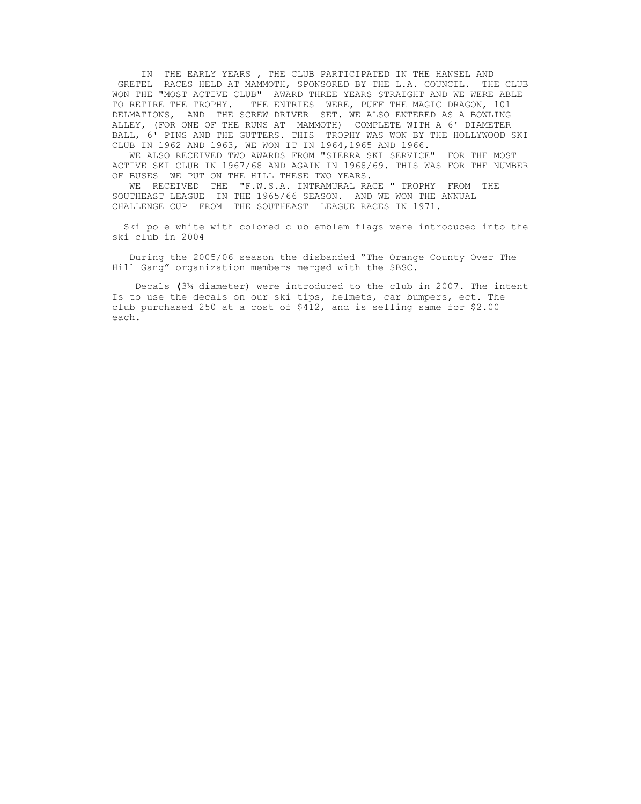IN THE EARLY YEARS , THE CLUB PARTICIPATED IN THE HANSEL AND GRETEL RACES HELD AT MAMMOTH, SPONSORED BY THE L.A. COUNCIL. THE CLUB WON THE "MOST ACTIVE CLUB" AWARD THREE YEARS STRAIGHT AND WE WERE ABLE TO RETIRE THE TROPHY. THE ENTRIES WERE, PUFF THE MAGIC DRAGON, 101 DELMATIONS, AND THE SCREW DRIVER SET. WE ALSO ENTERED AS A BOWLING ALLEY, (FOR ONE OF THE RUNS AT MAMMOTH) COMPLETE WITH A 6' DIAMETER BALL, 6' PINS AND THE GUTTERS. THIS TROPHY WAS WON BY THE HOLLYWOOD SKI CLUB IN 1962 AND 1963, WE WON IT IN 1964,1965 AND 1966.

 WE ALSO RECEIVED TWO AWARDS FROM "SIERRA SKI SERVICE" FOR THE MOST ACTIVE SKI CLUB IN 1967/68 AND AGAIN IN 1968/69. THIS WAS FOR THE NUMBER OF BUSES WE PUT ON THE HILL THESE TWO YEARS.

 WE RECEIVED THE "F.W.S.A. INTRAMURAL RACE " TROPHY FROM THE SOUTHEAST LEAGUE IN THE 1965/66 SEASON. AND WE WON THE ANNUAL CHALLENGE CUP FROM THE SOUTHEAST LEAGUE RACES IN 1971.

 Ski pole white with colored club emblem flags were introduced into the ski club in 2004

 During the 2005/06 season the disbanded "The Orange County Over The Hill Gang" organization members merged with the SBSC.

Decals **(**3¼ diameter) were introduced to the club in 2007. The intent Is to use the decals on our ski tips, helmets, car bumpers, ect. The club purchased 250 at a cost of \$412, and is selling same for \$2.00 each.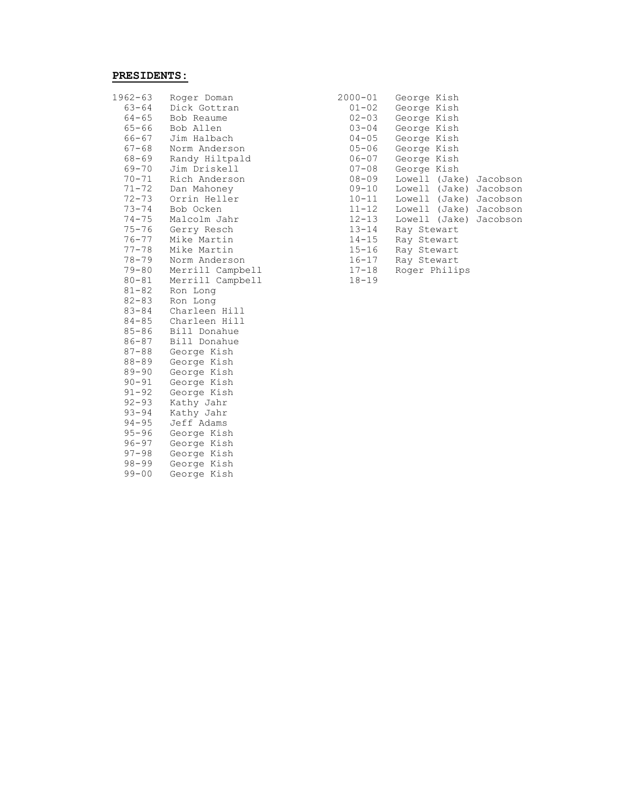# **PRESIDENTS:**

| $1962 - 63$<br>$63 - 64$<br>$64 - 65$<br>$65 - 66$<br>66-67<br>$67 - 68$<br>$68 - 69$<br>$69 - 70$<br>$70 - 71$<br>$71 - 72$<br>$72 - 73$<br>$73 - 74$<br>$74 - 75$ | Roger Doman<br>Dick Gottran<br>Bob Reaume<br>Bob Allen<br>Jim Halbach<br>Norm Anderson<br>Randy Hiltpald<br>Jim Driskell<br>Rich Anderson<br>Dan Mahoney<br>Orrin Heller<br>Bob Ocken<br>Malcolm Jahr | 2000-01<br>$01 - 02$<br>$02 - 03$<br>$03 - 04$<br>$04 - 05$<br>$05 - 06$<br>$06 - 07$<br>$07 - 08$<br>$08 - 09$<br>$09 - 10$<br>$10 - 11$<br>$11 - 12$<br>$12 - 13$ | George Kish<br>George Kish<br>George Kish<br>George Kish<br>George Kish<br>George Kish<br>George Kish<br>George Kish<br>Lowell (Jake)<br>Lowell (Jake)<br>Lowell (Jake)<br>Lowell (Jake)<br>Lowell (Jake) |
|---------------------------------------------------------------------------------------------------------------------------------------------------------------------|-------------------------------------------------------------------------------------------------------------------------------------------------------------------------------------------------------|---------------------------------------------------------------------------------------------------------------------------------------------------------------------|-----------------------------------------------------------------------------------------------------------------------------------------------------------------------------------------------------------|
| $75 - 76$                                                                                                                                                           | Gerry Resch                                                                                                                                                                                           | $13 - 14$                                                                                                                                                           | Ray Stewart                                                                                                                                                                                               |
| $76 - 77$                                                                                                                                                           | Mike Martin                                                                                                                                                                                           | $14 - 15$                                                                                                                                                           | Ray Stewart                                                                                                                                                                                               |
| $77 - 78$                                                                                                                                                           | Mike Martin                                                                                                                                                                                           | $15 - 16$                                                                                                                                                           | Ray Stewart                                                                                                                                                                                               |
| $78 - 79$                                                                                                                                                           | Norm Anderson                                                                                                                                                                                         | $16 - 17$                                                                                                                                                           | Ray Stewart                                                                                                                                                                                               |
| $79 - 80$                                                                                                                                                           | Merrill Campbell                                                                                                                                                                                      | $17 - 18$                                                                                                                                                           | Roger Philips                                                                                                                                                                                             |
| $80 - 81$                                                                                                                                                           | Merrill Campbell                                                                                                                                                                                      | $18 - 19$                                                                                                                                                           |                                                                                                                                                                                                           |
| $81 - 82$                                                                                                                                                           | Ron Long                                                                                                                                                                                              |                                                                                                                                                                     |                                                                                                                                                                                                           |
| $82 - 83$                                                                                                                                                           | Ron Long                                                                                                                                                                                              |                                                                                                                                                                     |                                                                                                                                                                                                           |
| $83 - 84$                                                                                                                                                           | Charleen Hill                                                                                                                                                                                         |                                                                                                                                                                     |                                                                                                                                                                                                           |
| $84 - 85$                                                                                                                                                           | Charleen Hill                                                                                                                                                                                         |                                                                                                                                                                     |                                                                                                                                                                                                           |
| $85 - 86$                                                                                                                                                           | Bill Donahue                                                                                                                                                                                          |                                                                                                                                                                     |                                                                                                                                                                                                           |
| $86 - 87$                                                                                                                                                           | Bill Donahue                                                                                                                                                                                          |                                                                                                                                                                     |                                                                                                                                                                                                           |
| $87 - 88$                                                                                                                                                           | George Kish                                                                                                                                                                                           |                                                                                                                                                                     |                                                                                                                                                                                                           |
| $88 - 89$                                                                                                                                                           | George Kish                                                                                                                                                                                           |                                                                                                                                                                     |                                                                                                                                                                                                           |
| $89 - 90$                                                                                                                                                           | George Kish                                                                                                                                                                                           |                                                                                                                                                                     |                                                                                                                                                                                                           |
| $90 - 91$                                                                                                                                                           | George Kish                                                                                                                                                                                           |                                                                                                                                                                     |                                                                                                                                                                                                           |
| $91 - 92$                                                                                                                                                           | George Kish                                                                                                                                                                                           |                                                                                                                                                                     |                                                                                                                                                                                                           |
| $92 - 93$                                                                                                                                                           | Kathy Jahr                                                                                                                                                                                            |                                                                                                                                                                     |                                                                                                                                                                                                           |
| $93 - 94$                                                                                                                                                           | Kathy Jahr                                                                                                                                                                                            |                                                                                                                                                                     |                                                                                                                                                                                                           |
| $94 - 95$                                                                                                                                                           | Jeff Adams                                                                                                                                                                                            |                                                                                                                                                                     |                                                                                                                                                                                                           |
| $95 - 96$                                                                                                                                                           | George Kish                                                                                                                                                                                           |                                                                                                                                                                     |                                                                                                                                                                                                           |
| $96 - 97$                                                                                                                                                           | George Kish                                                                                                                                                                                           |                                                                                                                                                                     |                                                                                                                                                                                                           |
| $97 - 98$                                                                                                                                                           | George Kish                                                                                                                                                                                           |                                                                                                                                                                     |                                                                                                                                                                                                           |
| $98 - 99$                                                                                                                                                           | George Kish                                                                                                                                                                                           |                                                                                                                                                                     |                                                                                                                                                                                                           |
| $99 - 00$                                                                                                                                                           | George Kish                                                                                                                                                                                           |                                                                                                                                                                     |                                                                                                                                                                                                           |

| $1962 - 63$ | Roger Doman      | $2000 - 01$ | George Kish               |  |
|-------------|------------------|-------------|---------------------------|--|
| $63 - 64$   | Dick Gottran     | $01 - 02$   | George Kish               |  |
| $64 - 65$   | Bob Reaume       | $02 - 03$   | George Kish               |  |
| $65 - 66$   | Bob Allen        | $03 - 04$   | George Kish               |  |
| 66-67       | Jim Halbach      | $04 - 05$   | George Kish               |  |
| $67 - 68$   | Norm Anderson    | $05 - 06$   | George Kish               |  |
| 68-69       | Randy Hiltpald   | $06 - 07$   | George Kish               |  |
| 69-70       | Jim Driskell     | $07 - 08$   | George Kish               |  |
| 70-71       | Rich Anderson    | 08-09       | Lowell (Jake)<br>Jacobson |  |
| 71-72       | Dan Mahoney      | $09 - 10$   | Lowell (Jake)<br>Jacobson |  |
| $72 - 73$   | Orrin Heller     | $10 - 11$   | Lowell (Jake)<br>Jacobson |  |
| $73 - 74$   | Bob Ocken        | $11 - 12$   | Lowell (Jake)<br>Jacobson |  |
| $74 - 75$   | Malcolm Jahr     | $12 - 13$   | Lowell (Jake) Jacobson    |  |
| $75 - 76$   | Gerry Resch      | $13 - 14$   | Ray Stewart               |  |
| 76-77       | Mike Martin      | $14 - 15$   | Ray Stewart               |  |
| $77 - 78$   | Mike Martin      | 15-16       | Ray Stewart               |  |
| 78-79       | Norm Anderson    | $16 - 17$   | Ray Stewart               |  |
| $79 - 80$   | Merrill Campbell | $17 - 18$   | Roger Philips             |  |
| $80 - 81$   | Merrill Campbell | $18 - 19$   |                           |  |
|             |                  |             |                           |  |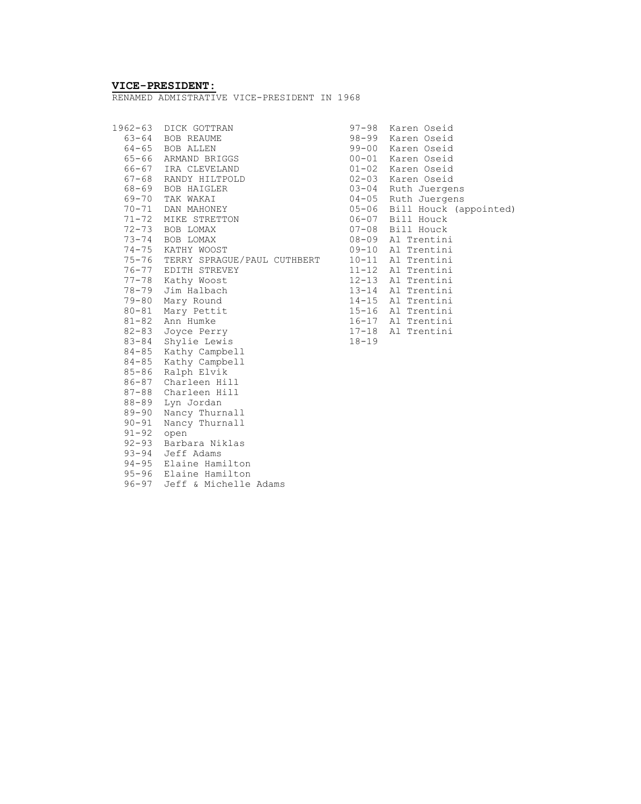# **VICE-PRESIDENT:**

RENAMED ADMISTRATIVE VICE-PRESIDENT IN 1968

|           | 1962-63 DICK GOTTRAN              |           | 97-98 Karen Oseid            |
|-----------|-----------------------------------|-----------|------------------------------|
|           | 63-64 BOB REAUME                  |           | 98-99 Karen Oseid            |
|           | 64-65 BOB ALLEN                   |           | 99-00 Karen Oseid            |
|           | 65-66 ARMAND BRIGGS               |           | 00-01 Karen Oseid            |
|           | 66-67 IRA CLEVELAND               |           | 01-02 Karen Oseid            |
|           | 67-68 RANDY HILTPOLD              |           | 02-03 Karen Oseid            |
|           | 68-69 BOB HAIGLER                 |           | 03-04 Ruth Juergens          |
|           | 69-70 TAK WAKAI                   |           | 04-05 Ruth Juergens          |
|           | 70-71 DAN MAHONEY                 |           | 05-06 Bill Houck (appointed) |
|           | 71-72 MIKE STRETTON               |           | 06-07 Bill Houck             |
|           | 72-73 BOB LOMAX                   |           | 07-08 Bill Houck             |
|           | 73-74 BOB LOMAX                   |           | 08-09 Al Trentini            |
|           | 74-75 KATHY WOOST                 |           | 09-10 Al Trentini            |
|           | 75-76 TERRY SPRAGUE/PAUL CUTHBERT | $10 - 11$ | Al Trentini                  |
|           | 76-77 EDITH STREVEY               |           | 11-12 Al Trentini            |
| $77 - 78$ | Kathy Woost                       |           | 12-13 Al Trentini            |
| 78-79     | Jim Halbach                       |           | 13-14 Al Trentini            |
| 79-80     | Mary Round                        |           | 14-15 Al Trentini            |
|           | 80-81 Mary Pettit                 |           | 15-16 Al Trentini            |
|           | 81-82 Ann Humke                   |           | 16-17 Al Trentini            |
| $82 - 83$ | Joyce Perry                       |           | 17-18 Al Trentini            |
|           | 83-84 Shylie Lewis                | $18 - 19$ |                              |
|           | 84-85 Kathy Campbell              |           |                              |
|           | 84-85 Kathy Campbell              |           |                              |
|           | 85-86 Ralph Elvik                 |           |                              |
|           | 86-87 Charleen Hill               |           |                              |
|           | 87-88 Charleen Hill               |           |                              |
| 88-89     | Lyn Jordan                        |           |                              |
| $89 - 90$ | Nancy Thurnall                    |           |                              |
| $90 - 91$ | Nancy Thurnall                    |           |                              |
| $91 - 92$ | open                              |           |                              |
| $92 - 93$ | Barbara Niklas                    |           |                              |
|           | 93-94 Jeff Adams                  |           |                              |
|           | 94-95 Elaine Hamilton             |           |                              |
|           | 95-96 Elaine Hamilton             |           |                              |
| $96 - 97$ | Jeff & Michelle Adams             |           |                              |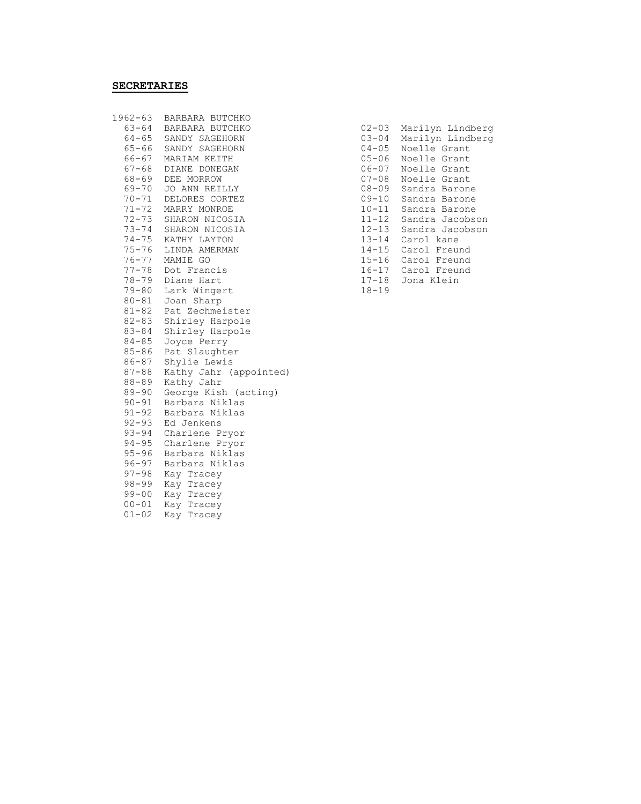#### **SECRETARIES**

| $1962 - 63$ | BARBARA BUTCHKO        |           |                  |
|-------------|------------------------|-----------|------------------|
| 63-64       | BARBARA BUTCHKO        | $02 - 03$ | Marilyn Lindberg |
| 64-65       | SANDY SAGEHORN         | $03 - 04$ | Marilyn Lindberg |
| 65-66       | SANDY SAGEHORN         | $04 - 05$ | Noelle Grant     |
| 66-67       | MARIAM KEITH           | $05 - 06$ | Noelle Grant     |
| $67 - 68$   | DIANE DONEGAN          | $06 - 07$ | Noelle Grant     |
|             | 68-69 DEE MORROW       | $07 - 08$ | Noelle Grant     |
|             | 69-70 JO ANN REILLY    | $08 - 09$ | Sandra Barone    |
| $70 - 71$   | DELORES CORTEZ         | $09 - 10$ | Sandra Barone    |
| $71 - 72$   | MARRY MONROE           | $10 - 11$ | Sandra Barone    |
| $72 - 73$   | SHARON NICOSIA         | $11 - 12$ | Sandra Jacobson  |
| $73 - 74$   | SHARON NICOSIA         | $12 - 13$ | Sandra Jacobson  |
|             | 74-75 KATHY LAYTON     | $13 - 14$ | Carol kane       |
| $75 - 76$   | LINDA AMERMAN          | $14 - 15$ | Carol Freund     |
|             | 76-77 MAMIE GO         | $15 - 16$ | Carol Freund     |
|             | 77-78 Dot Francis      | $16 - 17$ | Carol Freund     |
| 78-79       | Diane Hart             | $17 - 18$ | Jona Klein       |
| $79 - 80$   | Lark Wingert           | $18 - 19$ |                  |
| $80 - 81$   | Joan Sharp             |           |                  |
| $81 - 82$   | Pat Zechmeister        |           |                  |
| $82 - 83$   | Shirley Harpole        |           |                  |
| $83 - 84$   | Shirley Harpole        |           |                  |
| $84 - 85$   | Joyce Perry            |           |                  |
| $85 - 86$   | Pat Slaughter          |           |                  |
| $86 - 87$   | Shylie Lewis           |           |                  |
| $87 - 88$   | Kathy Jahr (appointed) |           |                  |
| $88 - 89$   | Kathy Jahr             |           |                  |
| $89 - 90$   | George Kish (acting)   |           |                  |
| $90 - 91$   | Barbara Niklas         |           |                  |
| $91 - 92$   | Barbara Niklas         |           |                  |
| $92 - 93$   | Ed Jenkens             |           |                  |
| $93 - 94$   | Charlene Pryor         |           |                  |
| $94 - 95$   | Charlene Pryor         |           |                  |
| $95 - 96$   | Barbara Niklas         |           |                  |
| $96 - 97$   | Barbara Niklas         |           |                  |
| $97 - 98$   | Kay Tracey             |           |                  |
| $98 - 99$   | Kay Tracey             |           |                  |
| $99 - 00$   | Kay Tracey             |           |                  |
| $00 - 01$   | Kay Tracey             |           |                  |
| $01 - 02$   | Kay Tracey             |           |                  |
|             |                        |           |                  |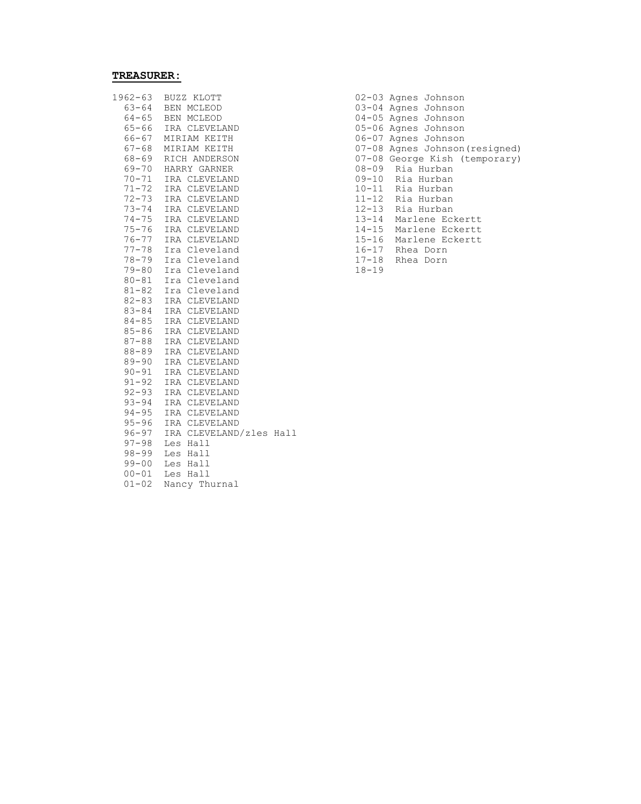# **TREASURER:**

| 1962-63   | BUZZ KLOTT              |  |           | 02-03 Agnes Johnson      |
|-----------|-------------------------|--|-----------|--------------------------|
| 63-64     | BEN MCLEOD              |  |           | 03-04 Agnes Johnson      |
| $64 - 65$ | BEN MCLEOD              |  |           | 04-05 Agnes Johnson      |
| $65 - 66$ | IRA CLEVELAND           |  |           | 05-06 Agnes Johnson      |
| 66-67     | MIRIAM KEITH            |  |           | 06-07 Agnes Johnson      |
| $67 - 68$ | MIRIAM KEITH            |  |           | 07-08 Agnes Johnson (res |
| 68-69     | RICH ANDERSON           |  |           | 07-08 George Kish (temp  |
| 69-70     | HARRY GARNER            |  |           | 08-09 Ria Hurban         |
| $70 - 71$ | IRA CLEVELAND           |  |           | 09-10 Ria Hurban         |
| $71 - 72$ | IRA CLEVELAND           |  |           | 10-11 Ria Hurban         |
| $72 - 73$ | IRA CLEVELAND           |  |           | 11-12 Ria Hurban         |
| $73 - 74$ | IRA CLEVELAND           |  | $12 - 13$ | Ria Hurban               |
| $74 - 75$ | IRA CLEVELAND           |  | $13 - 14$ | Marlene Eckertt          |
| $75 - 76$ | IRA CLEVELAND           |  | $14 - 15$ | Marlene Eckertt          |
| $76 - 77$ | IRA CLEVELAND           |  | $15 - 16$ | Marlene Eckertt          |
| $77 - 78$ | Ira Cleveland           |  |           | 16-17 Rhea Dorn          |
| $78 - 79$ | Ira Cleveland           |  |           | 17-18 Rhea Dorn          |
| $79 - 80$ | Ira Cleveland           |  | $18 - 19$ |                          |
| $80 - 81$ | Ira Cleveland           |  |           |                          |
| $81 - 82$ | Ira Cleveland           |  |           |                          |
| $82 - 83$ | IRA CLEVELAND           |  |           |                          |
| $83 - 84$ | IRA CLEVELAND           |  |           |                          |
| $84 - 85$ | IRA CLEVELAND           |  |           |                          |
| $85 - 86$ | IRA CLEVELAND           |  |           |                          |
| $87 - 88$ | IRA CLEVELAND           |  |           |                          |
| $88 - 89$ | IRA CLEVELAND           |  |           |                          |
| $89 - 90$ | IRA CLEVELAND           |  |           |                          |
| $90 - 91$ | IRA CLEVELAND           |  |           |                          |
| $91 - 92$ | IRA CLEVELAND           |  |           |                          |
| $92 - 93$ | IRA CLEVELAND           |  |           |                          |
| $93 - 94$ | IRA CLEVELAND           |  |           |                          |
| $94 - 95$ | IRA CLEVELAND           |  |           |                          |
| $95 - 96$ | IRA CLEVELAND           |  |           |                          |
| $96 - 97$ | IRA CLEVELAND/zles Hall |  |           |                          |
| $97 - 98$ | Les Hall                |  |           |                          |
| $98 - 99$ | Les Hall                |  |           |                          |
| $99 - 00$ | Les Hall                |  |           |                          |
| $00 - 01$ | Les Hall                |  |           |                          |
| $01 - 02$ | Nancy Thurnal           |  |           |                          |

| 1962-63 | BUZZ KLOTT          | 02-03 Agnes Johnson            |
|---------|---------------------|--------------------------------|
|         | 63-64 BEN MCLEOD    | 03-04 Agnes Johnson            |
|         | 64-65 BEN MCLEOD    | 04-05 Agnes Johnson            |
|         | 65-66 IRA CLEVELAND | 05-06 Agnes Johnson            |
| 66-67   | MIRIAM KEITH        | 06-07 Agnes Johnson            |
|         | 67-68 MIRIAM KEITH  | 07-08 Agnes Johnson (resigned) |
|         | 68-69 RICH ANDERSON | 07-08 George Kish (temporary)  |
|         | 69-70 HARRY GARNER  | 08-09 Ria Hurban               |
|         | 70-71 IRA CLEVELAND | 09-10 Ria Hurban               |
|         | 71-72 IRA CLEVELAND | 10-11 Ria Hurban               |
|         | 72-73 IRA CLEVELAND | 11-12 Ria Hurban               |
|         | 73-74 IRA CLEVELAND | 12-13 Ria Hurban               |
|         | 74-75 IRA CLEVELAND | 13-14 Marlene Eckertt          |
|         | 75-76 IRA CLEVELAND | 14-15 Marlene Eckertt          |
|         | 76-77 IRA CLEVELAND | 15-16 Marlene Eckertt          |
|         | 77-78 Ira Cleveland | 16-17 Rhea Dorn                |
|         | 78-79 Ira Cleveland | 17-18 Rhea Dorn                |
|         | 79-80 Ira Cleveland | $18 - 19$                      |
|         |                     |                                |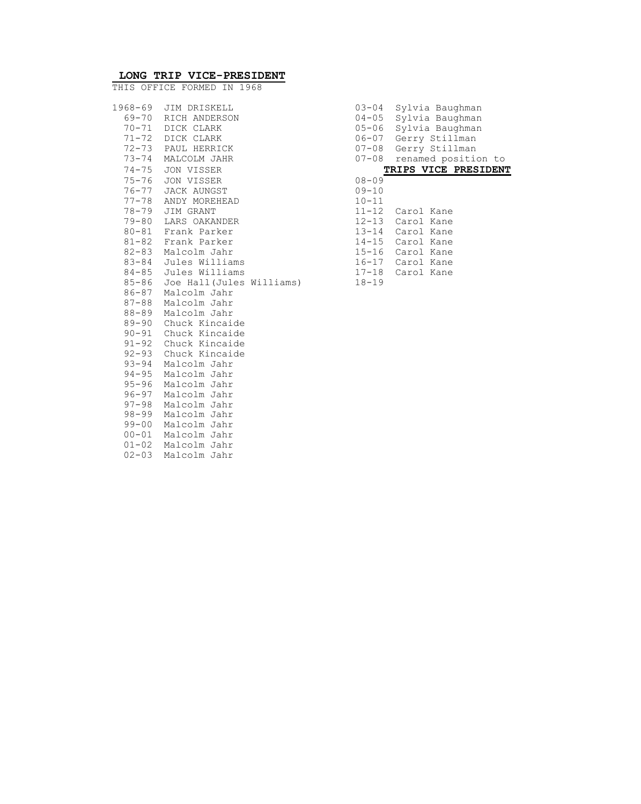| 03-04<br>$04 - 05$<br>$05 - 06$<br>06-07<br>$07 - 08$<br>$07 - 08$                                                      | Sylvia Baughman<br>Sylvia Baughman<br>Sylvia Baughman<br>Gerry Stillman<br>Gerry Stillman<br>renamed position<br>- 1<br><b>TRIPS VICE PRESIDE</b> |
|-------------------------------------------------------------------------------------------------------------------------|---------------------------------------------------------------------------------------------------------------------------------------------------|
| 08-09<br>$09 - 10$<br>$10 - 11$<br>11-12<br>12-13<br>$13 - 14$<br>$14 - 15$<br>$15 - 16$<br>$16 - 17$<br>17-18<br>18-19 | Carol Kane<br>Carol Kane<br>Carol Kane<br>Carol Kane<br>Carol Kane<br>Carol Kane<br>Carol Kane                                                    |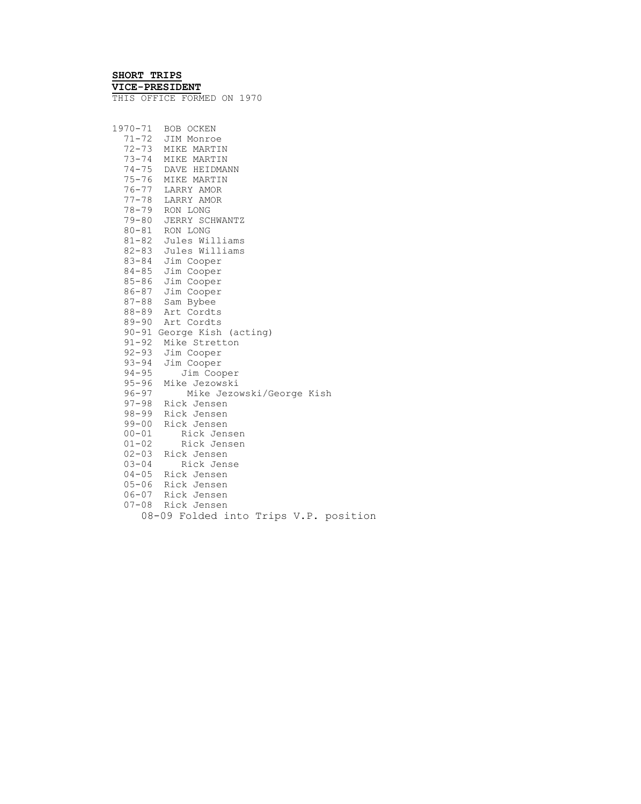# **SHORT TRIPS**

**VICE-PRESIDENT**  THIS OFFICE FORMED ON 1970

| 1970-71   | BOB OCKEN                                    |
|-----------|----------------------------------------------|
|           | 71-72 JIM Monroe                             |
|           | 72-73 MIKE MARTIN                            |
| $73 - 74$ | MIKE MARTIN                                  |
|           | 74-75 DAVE HEIDMANN                          |
| 75-76     | MIKE MARTIN                                  |
|           | 76-77 LARRY AMOR                             |
|           | 77-78 LARRY AMOR                             |
|           | 78-79 RON LONG                               |
|           | 79-80 JERRY SCHWANTZ                         |
|           | 80-81 RON LONG                               |
|           | 81-82 Jules Williams<br>82-83 Jules Williams |
|           |                                              |
|           | 83-84 Jim Cooper                             |
|           | 84-85 Jim Cooper                             |
|           | 85-86 Jim Cooper                             |
|           | 86-87 Jim Cooper                             |
|           | 87-88 Sam Bybee                              |
|           | 88-89 Art Cordts                             |
| 89-90     | Art Cordts                                   |
| $90 - 91$ | George Kish (acting)                         |
| $91 - 92$ | Mike Stretton                                |
|           | 92-93 Jim Cooper                             |
|           | 93-94 Jim Cooper                             |
| $94 - 95$ | Jim Cooper                                   |
| $95 - 96$ | Mike Jezowski                                |
| $96 - 97$ | Mike Jezowski/George Kish                    |
|           | 97-98 Rick Jensen                            |
|           | 98-99 Rick Jensen                            |
| 99-00     | Rick Jensen                                  |
| $00 - 01$ | Rick Jensen                                  |
| $01 - 02$ | Rick Jensen                                  |
|           | 02-03 Rick Jensen                            |
| $03 - 04$ | Rick Jense                                   |
|           | 04-05 Rick Jensen                            |
|           | 05-06 Rick Jensen<br>06-07 Rick Jensen       |
|           |                                              |
|           | 07-08 Rick Jensen                            |
|           | 08-09 Folded into Trips V.P. position        |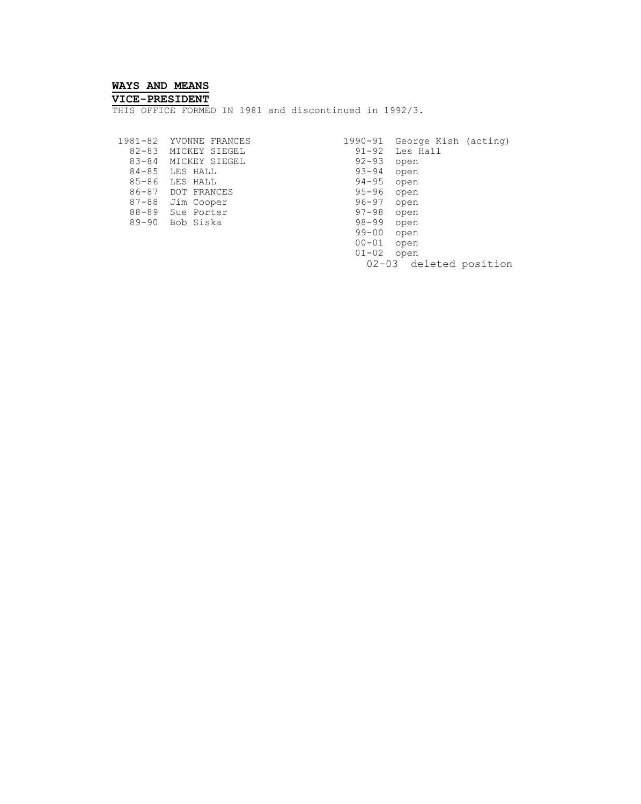#### **WAYS AND MEANS**

#### **VICE-PRESIDENT**

THIS OFFICE FORMED IN 1981 and discontinued in 1992/3.

 82-83 MICKEY SIEGEL 91-92 Les Hall 83-84 MICKEY SIEGEL 92-93 open 84-85 LES HALL 93-94 open 85-86 LES HALL 94-95 open 86-87 DOT FRANCES 95-96 open 87-88 Jim Cooper 96-97 open 88-89 Sue Porter 97-98 open 89-90 Bob Siska 98-99 open

 1981-82 YVONNE FRANCES 1990-91 George Kish (acting) 99-00 open 00-01 open 01-02 open 02-03 deleted position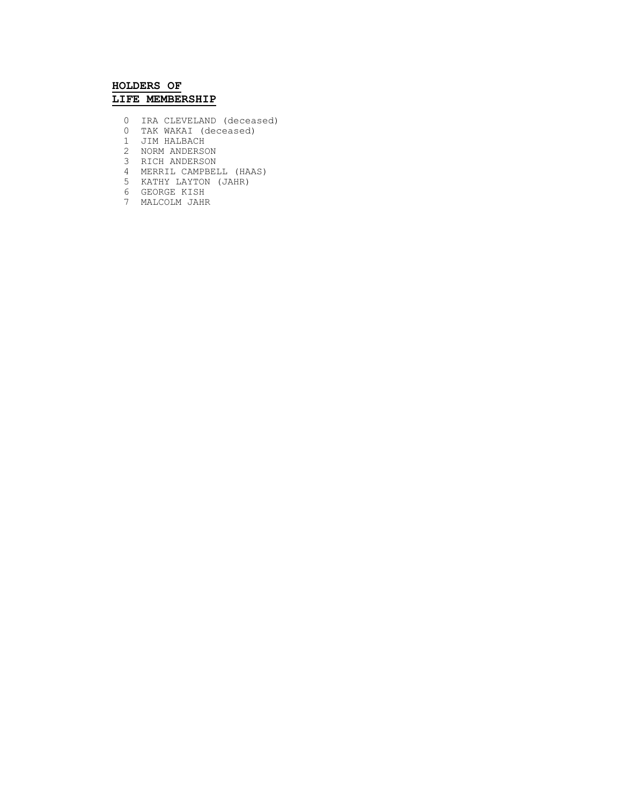### **HOLDERS OF LIFE MEMBERSHIP**

- 0 IRA CLEVELAND (deceased)
	- 0 TAK WAKAI (deceased)
	- 1 JIM HALBACH
- 2 NORM ANDERSON
- 3 RICH ANDERSON
	- 4 MERRIL CAMPBELL (HAAS)
	- 5 KATHY LAYTON (JAHR)
	- 6 GEORGE KISH
	- 7 MALCOLM JAHR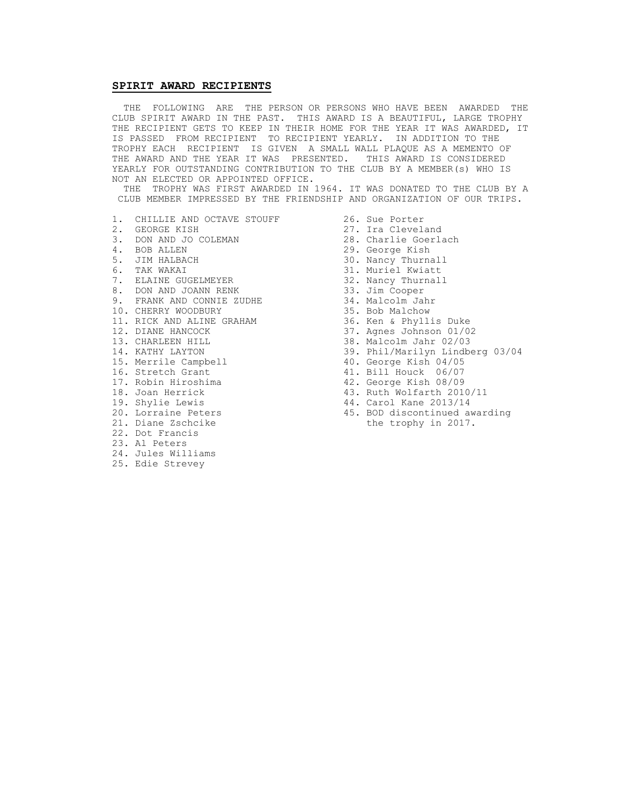#### **SPIRIT AWARD RECIPIENTS**

 THE FOLLOWING ARE THE PERSON OR PERSONS WHO HAVE BEEN AWARDED THE CLUB SPIRIT AWARD IN THE PAST. THIS AWARD IS A BEAUTIFUL, LARGE TROPHY THE RECIPIENT GETS TO KEEP IN THEIR HOME FOR THE YEAR IT WAS AWARDED, IT IS PASSED FROM RECIPIENT TO RECIPIENT YEARLY. IN ADDITION TO THE TROPHY EACH RECIPIENT IS GIVEN A SMALL WALL PLAQUE AS A MEMENTO OF THE AWARD AND THE YEAR IT WAS PRESENTED. THIS AWARD IS CONSIDERED YEARLY FOR OUTSTANDING CONTRIBUTION TO THE CLUB BY A MEMBER(s) WHO IS NOT AN ELECTED OR APPOINTED OFFICE.

 THE TROPHY WAS FIRST AWARDED IN 1964. IT WAS DONATED TO THE CLUB BY A CLUB MEMBER IMPRESSED BY THE FRIENDSHIP AND ORGANIZATION OF OUR TRIPS.

- 1. CHILLIE AND OCTAVE STOUFF 26. Sue Porter<br>2. GEORGE KISH 27. Ira Clevel.
- 
- 3. DON AND JO COLEMAN<br>4. BOB ALLEN
- 
- 
- 
- 7. ELAINE GUGELMEYER 32. Nancy Thurnall
- 8. DON AND JOANN RENK 1988 13. Jim Cooper
- 9. FRANK AND CONNIE ZUDHE 34. Malcolm Jahr
- 10. CHERRY WOODBURY 35. Bob Malchow
- 11. RICK AND ALINE GRAHAM 36. Ken & Phyllis Duke 10. CHERRY WOODBURY 11. RICK AND ALINE GRAHAM 35. Bob Malchow<br>12. DIANE HANCOCK 37. Agnes Johnson 01/02<br>13. CHARLEEN HILL 38. Malcolm Jahr 02/03
- 
- 
- 
- 
- 
- 
- 
- 
- 
- 
- 22. Dot Francis
- 23. Al Peters
- 24. Jules Williams
- 25. Edie Strevey
- 
- 27. Ira Cleveland<br>28. Charlie Goerlach
- 
- 4. BOB ALLEN 29. George Kish
	- 30. Nancy Thurnall
- 6. TAK WAKAI 31. Muriel Kwiatt
	-
	-
	-
	-
	-
	-
	-
- 13. CHARLEEN HILL 38. Malcolm Jahr 02/03<br>14. KATHY LAYTON 39. Phil/Marilyn Lindbe
- 14. KATHY LAYTON 15. Merrile Campbell 15. Merrile Campbell 15. Merrile Campbell 15. Merrile Campbell
- 15. Merrile Campbell 40. George Kish 04/05<br>16. Stretch Grant 41. Bill Houck 06/07 41. Bill Houck 06/07
	-
- 17. Robin Hiroshima 42. George Kish 08/09
- 18. Joan Herrick 18. Ruth Wolfarth 2010/11<br>19. Shylie Lewis 14. Carol Kane 2013/14
	- 44. Carol Kane 2013/14
- 20. Lorraine Peters 45. BOD discontinued awarding 21. Diane Zschcike the trophy in 2017.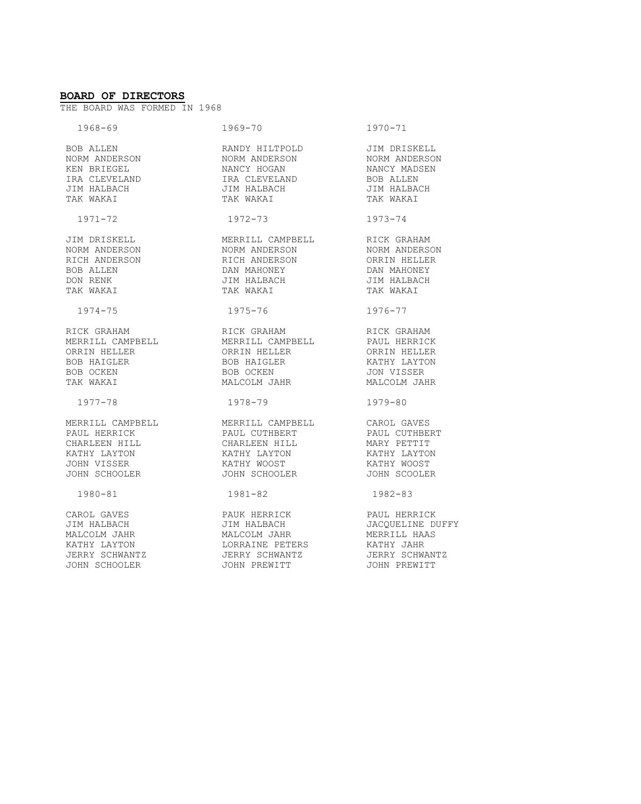#### **BOARD OF DIRECTORS**

THE BOARD WAS FORMED IN 1968

| $1968 - 69$                                                                                                                      | 1969-70                                                  | $1970 - 71$                   |
|----------------------------------------------------------------------------------------------------------------------------------|----------------------------------------------------------|-------------------------------|
|                                                                                                                                  |                                                          |                               |
| BOB ALLEN<br>NORM ANDERSON                                                                                                       | RANDY HILTPOLD<br>NORM ANDERSON                          | JIM DRISKELL<br>NORM ANDERSON |
| KEN BRIEGEL                                                                                                                      | NORM ANDERSON<br>NANCY HOGAN                             | NANCY MADSEN                  |
| IRA CLEVELAND                                                                                                                    | IRA CLEVELAND<br>JIM HALBACH<br>TAK WAKAI                | <b>BOB ALLEN</b>              |
| JIM HALBACH                                                                                                                      |                                                          | JIM HALBACH<br>TAK WAKAI      |
| TAK WAKAI                                                                                                                        |                                                          |                               |
| $1971 - 72$                                                                                                                      | 1972-73                                                  | $1973 - 74$                   |
| JIM DRISKELL                                                                                                                     | MERRILL CAMPBELL RICK GRAHAM                             |                               |
| NORM ANDERSON                                                                                                                    | NORM ANDERSON<br>RICH ANDERSON                           | NORM ANDERSON<br>ORRIN HELLER |
| RICH ANDERSON                                                                                                                    |                                                          |                               |
| <b>BOB ALLEN</b>                                                                                                                 | NICH INDENSON<br>DAN MAHONEY<br>JIM HALBACH<br>TAK WAKAI | DAN MAHONEY                   |
| DON RENK                                                                                                                         | JIM HALBACH<br>TAILTEACH                                 | JIM HALBACH                   |
| TAK WAKAI                                                                                                                        | TAK WAKAI                                                | TAK WAKAI                     |
| $1974 - 75$                                                                                                                      | 1975-76                                                  | 1976-77                       |
| RICK GRAHAM                                                                                                                      | RICK GRAHAM                                              | RICK GRAHAM                   |
| MERRILL CAMPBELL             MERRILL CAMPBELL           PAUL HERRICK<br>ORRIN HELLER             ORRIN HELLER       ORRIN HELLER |                                                          |                               |
|                                                                                                                                  |                                                          |                               |
| BOB HAIGLER                                                                                                                      | BOB HAIGLER                                              | KATHY LAYTON                  |
| BOB OCKEN                                                                                                                        | BOB OCKEN                                                | JON VISSER                    |
| TAK WAKAI                                                                                                                        | MALCOLM JAHR                                             | MALCOLM JAHR                  |
| 1977-78                                                                                                                          | 1978-79                                                  | 1979-80                       |
| MERRILL CAMPBELL MERRILL CAMPBELL CAROL GAVES                                                                                    |                                                          |                               |
| PAUL HERRICK                                                                                                                     | PAUL CUTHBERT                                            | PAUL CUTHBERT                 |
| CHARLEEN HILL                                                                                                                    | CHARLEEN HILL<br>KATHY LAYTON                            | MARY PETTIT                   |
| KATHY LAYTON                                                                                                                     |                                                          | <br>KATHY LAYTON              |
| JOHN VISSER                                                                                                                      | KATHY WOOST                                              | KATHY WOOST                   |
| JOHN SCHOOLER                                                                                                                    | JOHN SCHOOLER                                            | JOHN SCOOLER                  |
| 1980-81                                                                                                                          | 1981-82                                                  | 1982-83                       |
| CAROL GAVES                                                                                                                      | PAUK HERRICK                                             | PAUL HERRICK                  |
| JIM HALBACH                                                                                                                      | JIM HALBACH                                              | JACQUELINE DUFFY              |
| MALCOLM JAHR                                                                                                                     | MALCOLM JAHR                                             | MERRILL HAAS                  |
| KATHY LAYTON                                                                                                                     | LORRAINE PETERS                                          | KATHY JAHR                    |
| JERRY SCHWANTZ                                                                                                                   | JERRY SCHWANTZ                                           | JERRY SCHWANTZ                |
| JOHN SCHOOLER                                                                                                                    | JOHN PREWITT                                             | JOHN PREWITT                  |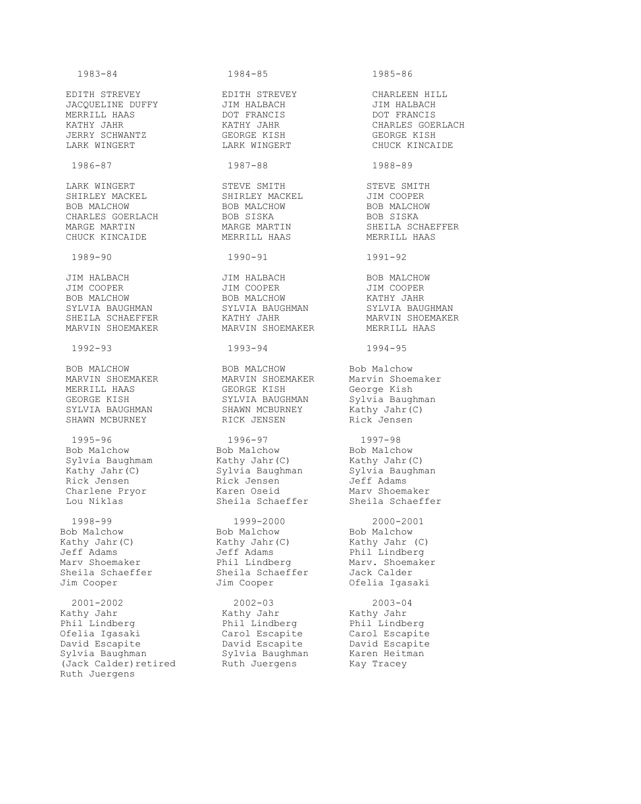1983-84 1984-85 1985-86 EDITH STREVEY EDITH STREVEY CHARLEEN HILL JACQUELINE DUFFY JIM HALBACH JIM HALBACH MERRILL HAAS DOT FRANCIS DOT FRANCIS KATHY JAHR KATHY JAHR CHARLES GOERLACH JERRY SCHWANTZ GEORGE KISH GEORGE KISH LARK WINGERT LARK WINGERT CHUCK KINCAIDE 1986-87 1987-88 1988-89 LARK WINGERT STEVE SMITH STEVE SMITH SHIRLEY MACKEL SHIRLEY MACKEL JIM COOPER BOB MALCHOW BOB MALCHOW BOB MALCHOW CHARLES GOERLACH BOB SISKA BOB SOB SISKA MARGE MARTIN MARGE MARTIN SHEILA SCHAEFFER CHUCK KINCAIDE MERRILL HAAS MERRILL HAAS 1989-90 1990-91 1991-92 JIM HALBACH JIM HALBACH BOB MALCHOW JIM COOPER JIM COOPER JIM COOPER BOB MALCHOW BOB MALCHOW KATHY JAHR SYLVIA BAUGHMAN SYLVIA BAUGHMAN SYLVIA BAUGHMAN SHEILA SCHAEFFER KATHY JAHR MARVIN SHOEMAKER MARVIN SHOEMAKER MARVIN SHOEMAKER MERRILL HAAS 1992-93 1993-94 1994-95 BOB MALCHOW BOB MALCHOW Bob Malchow MARVIN SHOEMAKER MARVIN SHOEMAKER Marvin Shoemaker MERRILL HAAS GEORGE KISH George Kish GEORGE KISH SYLVIA BAUGHMAN SYLVIA Baughman SYLVIA BAUGHMAN SHAWN MCBURNEY Kathy Jahr (C) SHAWN MCBURNEY RICK JENSEN Rick Jensen 1995-96 1996-97 1997-98 Bob Malchow Bob Malchow Bob Malchow Sylvia Baughmam Kathy Jahr(C) Kathy Jahr(C) Kathy Jahr(C) Sylvia Baughman Sylvia Baughman Rick Jensen Rick Jensen Jeff Adams Charlene Pryor Karen Oseid Marv Shoemaker Lou Niklas Sheila Schaeffer Sheila Schaeffer 1998-99 1999-2000 2000-2001 Bob Malchow Bob Malchow Bob Malchow Kathy Jahr(C) Kathy Jahr(C) Kathy Jahr (C) Jeff Adams Jeff Adams Phil Lindberg Marv Shoemaker Phil Lindberg Marv. Shoemaker Sheila Schaeffer Sheila Schaeffer Jack Calder Jim Cooper Jim Cooper Ofelia Igasaki 2001-2002 2002-03 2003-04 Kathy Jahr Kathy Jahr Kathy Jahr Phil Lindberg Phil Lindberg Phil Lindberg Ofelia Igasaki Carol Escapite Carol Escapite David Escapite David Escapite David Escapite Sylvia Baughman Sylvia Baughman Karen Heitman (Jack Calder)retired Ruth Juergens Kay Tracey Ruth Juergens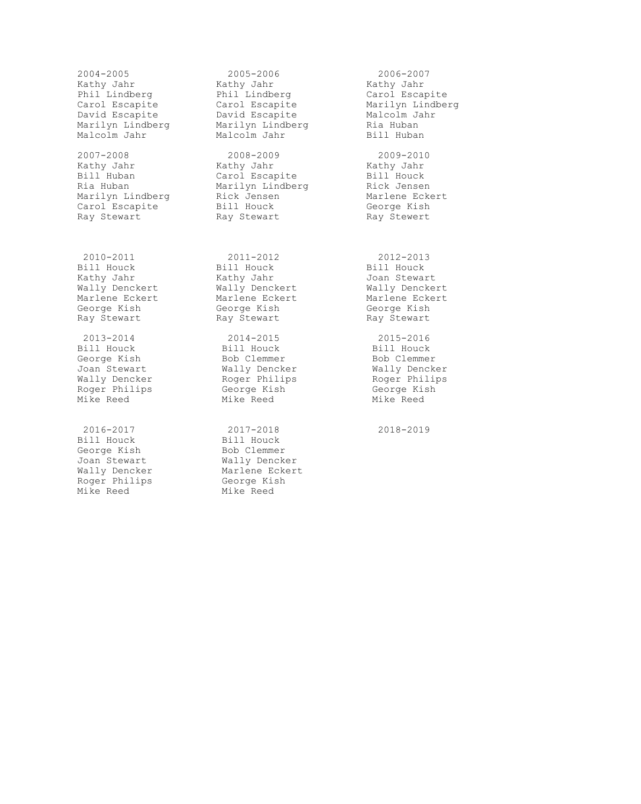2004-2005 2005-2006 2006-2007 Kathy Jahr Kathy Jahr Kathy Jahr Phil Lindberg **Phil Lindberg** Carol Escapite Carol Escapite Carol Escapite Marilyn Lindberg David Escapite David Escapite Malcolm Jahr Marilyn Lindberg Marilyn Lindberg Ria Huban Malcolm Jahr Malcolm Jahr Bill Huban 2007-2008 2008-2009 2009-2010 Kathy Jahr Kathy Jahr Kathy Jahr Bill Huban Carol Escapite Bill Houck Ria Huban Marilyn Lindberg Rick Jensen Marilyn Lindberg Rick Jensen Marlene Eckert Carol Escapite Bill Houck George Kish Ray Stewart **Ray Stewart** Ray Stewert 2010-2011 2011-2012 2012-2013 Bill Houck Bill Houck Bill Houck Kathy Jahr Kathy Jahr Joan Stewart Wally Denckert Wally Denckert Wally Denckert Marlene Eckert Marlene Eckert Marlene Eckert George Kish George Kish George Kish Ray Stewart **Ray Stewart Ray Stewart** Ray Stewart 2013-2014 2014-2015 2015-2016 Bill Houck Bill Houck Bill Houck George Kish Bob Clemmer Bob Clemmer Joan Stewart Wally Dencker Wally Dencker Wally Dencker Roger Philips Roger Philips Roger Philips Roger Philips George Kish George Kish Mike Reed Mike Reed Mike Reed

Bill Houck Bill Houck George Kish Bob Clemmer Roger Philips George Kish Mike Reed **Mike** Reed

 2016-2017 2017-2018 2018-2019 Joan Stewart Mally Dencker Wally Dencker Marlene Eckert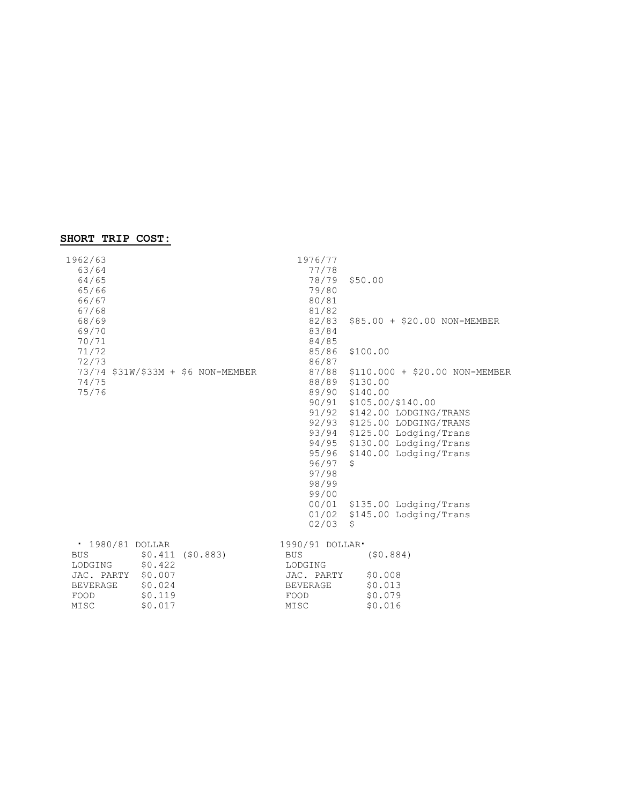# **SHORT TRIP COST:**

| 1962/63<br>63/64<br>64/65<br>65/66<br>66/67<br>67/68<br>68/69<br>69/70<br>70/71<br>71/72<br>72/73<br>73/74 \$31W/\$33M + \$6 NON-MEMBER                       | 1976/77<br>77/78<br>79/80<br>80/81<br>81/82<br>82/83<br>83/84<br>84/85<br>85/86<br>86/87 | 78/79 \$50.00<br>\$85.00 + \$20.00 NON-MEMBER<br>\$100.00<br>87/88 \$110.000 + \$20.00 NON-MEMBER                                                                                                                                 |
|---------------------------------------------------------------------------------------------------------------------------------------------------------------|------------------------------------------------------------------------------------------|-----------------------------------------------------------------------------------------------------------------------------------------------------------------------------------------------------------------------------------|
| 74/75<br>75/76                                                                                                                                                | 96/97<br>97/98<br>98/99<br>99/00                                                         | 88/89 \$130.00<br>89/90 \$140.00<br>90/91 \$105.00/\$140.00<br>91/92 \$142.00 LODGING/TRANS<br>92/93 \$125.00 LODGING/TRANS<br>93/94 \$125.00 Lodging/Trans<br>94/95 \$130.00 Lodging/Trans<br>95/96 \$140.00 Lodging/Trans<br>\$ |
|                                                                                                                                                               | 02/03                                                                                    | 00/01 \$135.00 Lodging/Trans<br>01/02 \$145.00 Lodging/Trans<br>\$                                                                                                                                                                |
| • 1980/81 DOLLAR<br>$$0.411$ (\$0.883)<br><b>BUS</b><br>\$0.422<br>LODGING<br>JAC. PARTY \$0.007<br>\$0.024<br>BEVERAGE<br>\$0.119<br>FOOD<br>\$0.017<br>MISC | 1990/91 DOLLAR.<br><b>BUS</b><br>LODGING<br>JAC. PARTY<br>BEVERAGE<br>FOOD<br>MISC       | (50.884)<br>\$0.008<br>\$0.013<br>\$0.079<br>\$0.016                                                                                                                                                                              |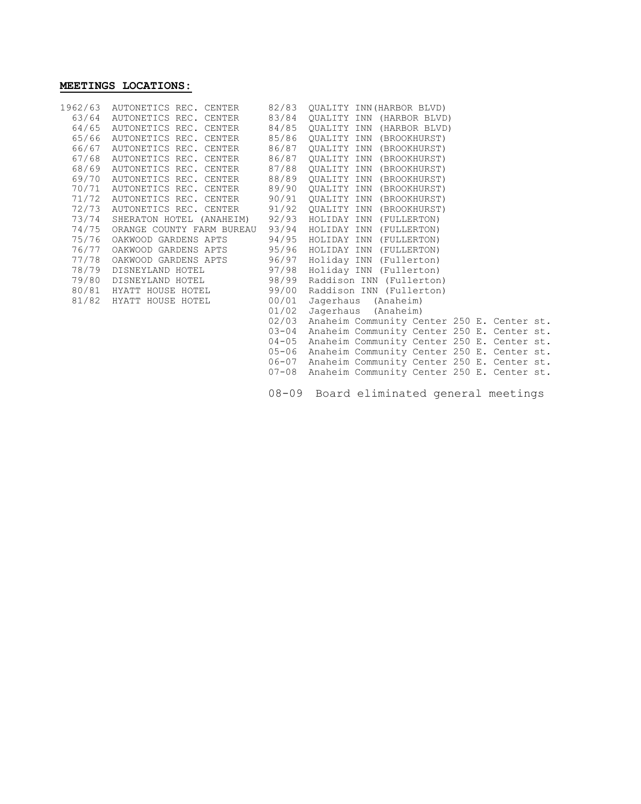# **MEETINGS LOCATIONS:**

|       | 1962/63 AUTONETICS REC. CENTER                         |           | 82/83 QUALITY INN (HARBOR BLVD)                  |
|-------|--------------------------------------------------------|-----------|--------------------------------------------------|
| 63/64 | AUTONETICS REC. CENTER                                 | 83/84     | QUALITY INN (HARBOR BLVD)                        |
| 64/65 | AUTONETICS REC. CENTER                                 |           | 84/85 OUALITY INN (HARBOR BLVD)                  |
|       | 65/66 AUTONETICS REC. CENTER                           | 85/86     | OUALITY INN (BROOKHURST)                         |
| 66/67 | AUTONETICS REC. CENTER                                 | 86/87     | OUALITY INN (BROOKHURST)                         |
| 67/68 | AUTONETICS REC. CENTER                                 | 86/87     | QUALITY INN (BROOKHURST)                         |
|       | 68/69 AUTONETICS REC. CENTER                           | 87/88     | QUALITY INN (BROOKHURST)                         |
| 69/70 | AUTONETICS REC. CENTER                                 | 88/89     | QUALITY INN (BROOKHURST)                         |
| 70/71 | AUTONETICS REC. CENTER                                 | 89/90     | QUALITY INN (BROOKHURST)                         |
|       | 71/72 AUTONETICS REC. CENTER                           | 90/91     | OUALITY INN (BROOKHURST)                         |
| 72/73 | AUTONETICS REC. CENTER                                 | 91/92     | OUALITY INN (BROOKHURST)                         |
| 73/74 | SHERATON HOTEL (ANAHEIM) 92/93 HOLIDAY INN (FULLERTON) |           |                                                  |
| 74/75 | ORANGE COUNTY FARM BUREAU 93/94                        |           | HOLIDAY INN (FULLERTON)                          |
| 75/76 | OAKWOOD GARDENS APTS                                   | 94/95     | HOLIDAY INN (FULLERTON)                          |
| 76/77 | OAKWOOD GARDENS APTS                                   | 95/96     | HOLIDAY INN (FULLERTON)                          |
| 77/78 | OAKWOOD GARDENS APTS                                   | 96/97     | Holiday INN (Fullerton)                          |
| 78/79 | DISNEYLAND HOTEL                                       | 97/98     | Holiday INN (Fullerton)                          |
|       | 79/80 DISNEYLAND HOTEL                                 | 98/99     | Raddison INN (Fullerton)                         |
| 80/81 | HYATT HOUSE HOTEL                                      | 99/00     | Raddison INN (Fullerton)                         |
|       | 81/82 HYATT HOUSE HOTEL                                | 00/01     | Jagerhaus (Anaheim)                              |
|       |                                                        | 01/02     | Jagerhaus (Anaheim)                              |
|       |                                                        | 02/03     | Anaheim Community Center 250 E. Center st.       |
|       |                                                        | $03 - 04$ | Anaheim Community Center 250 E. Center st.       |
|       |                                                        | $04 - 05$ | Anaheim Community Center 250 E. Center st.       |
|       |                                                        | $05 - 06$ | Anaheim Community Center 250 E. Center st.       |
|       |                                                        |           | 06-07 Anaheim Community Center 250 E. Center st. |
|       |                                                        |           | 07-08 Anaheim Community Center 250 E. Center st. |
|       |                                                        |           |                                                  |

08-09 Board eliminated general meetings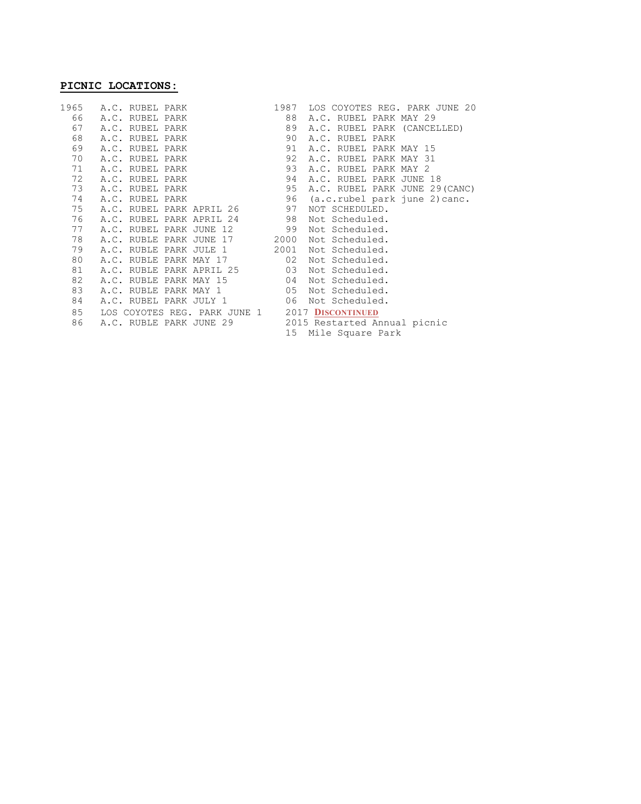# **PICNIC LOCATIONS:**

|    | 1965 A.C. RUBEL PARK                           | LOS COYOTES REG. PARK JUNE 20<br>1987 |  |
|----|------------------------------------------------|---------------------------------------|--|
|    | 66 A.C. RUBEL PARK                             | A.C. RUBEL PARK MAY 29<br>88          |  |
|    | 67 A.C. RUBEL PARK                             | 89<br>A.C. RUBEL PARK (CANCELLED)     |  |
| 68 | A.C. RUBEL PARK                                | 90<br>A.C. RUBEL PARK                 |  |
| 69 | A.C. RUBEL PARK                                | 91<br>A.C. RUBEL PARK MAY 15          |  |
| 70 | A.C. RUBEL PARK                                | 92<br>A.C. RUBEL PARK MAY 31          |  |
|    | 71 A.C. RUBEL PARK                             | 93<br>A.C. RUBEL PARK MAY 2           |  |
|    | 72 A.C. RUBEL PARK                             | 94<br>A.C. RUBEL PARK JUNE 18         |  |
|    | 73 A.C. RUBEL PARK                             | 95<br>A.C. RUBEL PARK JUNE 29(CANC)   |  |
| 74 | A.C. RUBEL PARK                                | 96 (a.c.rubel park june 2) canc.      |  |
|    | 75 A.C. RUBEL PARK APRIL 26                    | 97<br>NOT SCHEDULED.                  |  |
|    | 76 A.C. RUBEL PARK APRIL 24 98                 | Not Scheduled.                        |  |
|    | 77 A.C. RUBEL PARK JUNE 12                     | 99<br>Not Scheduled.                  |  |
| 78 | A.C. RUBLE PARK JUNE 17 2000                   | Not Scheduled.                        |  |
| 79 | A.C. RUBLE PARK JULE 1                         | 2001<br>Not Scheduled.                |  |
| 80 | A.C. RUBLE PARK MAY 17                         | 02<br>Not Scheduled.                  |  |
| 81 | A.C. RUBLE PARK APRIL 25                       | 03<br>Not Scheduled.                  |  |
| 82 | A.C. RUBLE PARK MAY 15                         | 04<br>Not Scheduled.                  |  |
| 83 | A.C. RUBLE PARK MAY 1                          | 05<br>Not Scheduled.                  |  |
| 84 | A.C. RUBEL PARK JULY 1                         | 06<br>Not Scheduled.                  |  |
| 85 | LOS COYOTES REG. PARK JUNE 1 2017 DISCONTINUED |                                       |  |
| 86 | A.C. RUBLE PARK JUNE 29                        | 2015 Restarted Annual picnic          |  |
|    |                                                | 15<br>Mile Square Park                |  |
|    |                                                |                                       |  |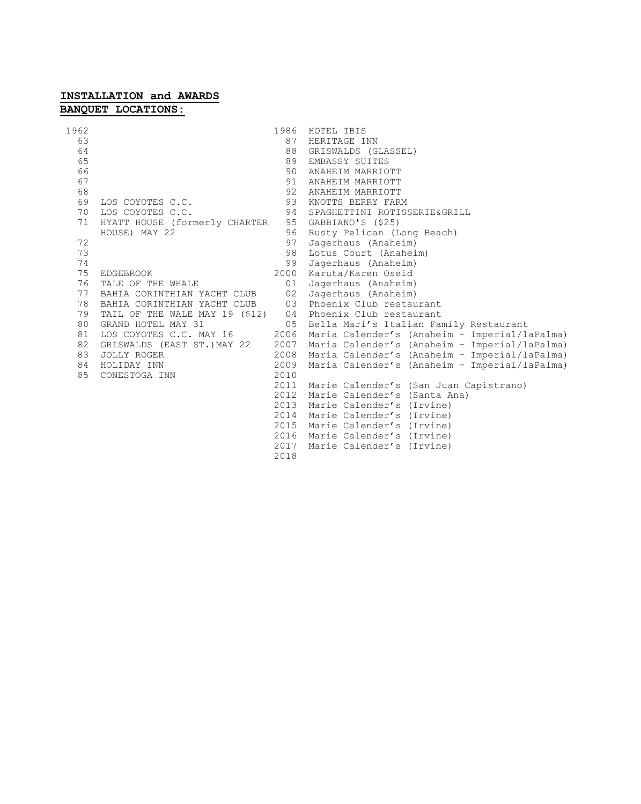# **INSTALLATION and AWARDS BANQUET LOCATIONS:**

| 1962 |                                                                 |      | 1986 HOTEL IBIS                               |
|------|-----------------------------------------------------------------|------|-----------------------------------------------|
| 63   |                                                                 | 87   | HERITAGE INN                                  |
| 64   |                                                                 | 88   | GRISWALDS (GLASSEL)                           |
| 65   |                                                                 | 89   | EMBASSY SUITES                                |
| 66   |                                                                 | 90   | ANAHEIM MARRIOTT                              |
| 67   |                                                                 | 91   | ANAHEIM MARRIOTT                              |
| 68   |                                                                 | 92   | ANAHEIM MARRIOTT                              |
| 69   | LOS COYOTES C.C.                                                | 93   | KNOTTS BERRY FARM                             |
| 70   | LOS COYOTES C.C.                                                | 94   | SPAGHETTINI ROTISSERIE&GRILL                  |
| 71   | HYATT HOUSE (formerly CHARTER                                   | 95   | GABBIANO'S (\$25)                             |
|      | HOUSE) MAY 22                                                   | 96   | Rusty Pelican (Long Beach)                    |
| 72   |                                                                 | 97   | Jagerhaus (Anaheim)                           |
| 73   |                                                                 | 98   | Lotus Court (Anaheim)                         |
| 74   |                                                                 | 99   | Jagerhaus (Anaheim)                           |
| 75   | EDGEBROOK                                                       | 2000 | Karuta/Karen Oseid                            |
| 76   | TALE OF THE WHALE                                               | 01   | Jagerhaus (Anaheim)                           |
|      | 77 BAHIA CORINTHIAN YACHT CLUB                                  | 02   | Jagerhaus (Anaheim)                           |
| 78   | BAHIA CORINTHIAN YACHT CLUB 03                                  |      | Phoenix Club restaurant                       |
| 79   | TAIL OF THE WALE MAY 19 (\$12) 04 Phoenix Club restaurant       |      |                                               |
| 80   | GRAND HOTEL MAY 31<br>$\sim$ 0.5                                |      | Bella Mari's Italian Family Restaurant        |
| 81   | LOS COYOTES C.C. MAY 16 2006<br>GRISWALDS (EAST ST.)MAY 22 2007 |      | Maria Calender's (Anaheim - Imperial/laPalma) |
| 82   |                                                                 |      | Maria Calender's (Anaheim - Imperial/laPalma) |
| 83   | JOLLY ROGER                                                     | 2008 | Maria Calender's (Anaheim - Imperial/laPalma) |
| 84   | HOLIDAY INN                                                     | 2009 | Maria Calender's (Anaheim - Imperial/laPalma) |
| 85   | CONESTOGA INN                                                   | 2010 |                                               |
|      |                                                                 | 2011 | Marie Calender's (San Juan Capistrano)        |
|      |                                                                 | 2012 | Marie Calender's (Santa Ana)                  |
|      |                                                                 | 2013 | Marie Calender's (Irvine)                     |
|      |                                                                 | 2014 | Marie Calender's (Irvine)                     |
|      |                                                                 | 2015 | Marie Calender's (Irvine)                     |
|      |                                                                 | 2016 | Marie Calender's (Irvine)                     |
|      |                                                                 | 2017 | Marie Calender's (Irvine)                     |
|      |                                                                 | 2018 |                                               |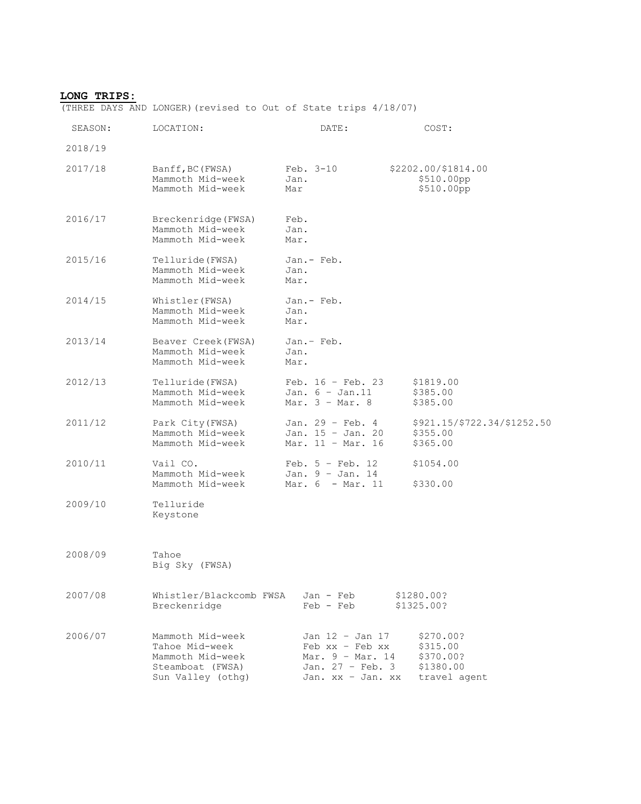#### **LONG TRIPS:**

(THREE DAYS AND LONGER)(revised to Out of State trips 4/18/07)

| SEASON: | LOCATION:                                                                                       | DATE:                                                                                                       | COST:                                                           |
|---------|-------------------------------------------------------------------------------------------------|-------------------------------------------------------------------------------------------------------------|-----------------------------------------------------------------|
| 2018/19 |                                                                                                 |                                                                                                             |                                                                 |
| 2017/18 | Banff, BC (FWSA)<br>Mammoth Mid-week<br>Mammoth Mid-week                                        | $Feb. 3-10$<br>Jan.<br>Mar                                                                                  | \$2202.00/\$1814.00<br>\$510.00pp<br>\$510.00pp                 |
| 2016/17 | Breckenridge (FWSA)<br>Mammoth Mid-week<br>Mammoth Mid-week                                     | Feb.<br>Jan.<br>Mar.                                                                                        |                                                                 |
| 2015/16 | Telluride (FWSA)<br>Mammoth Mid-week<br>Mammoth Mid-week                                        | Jan.- Feb.<br>Jan.<br>Mar.                                                                                  |                                                                 |
| 2014/15 | Whistler (FWSA)<br>Mammoth Mid-week<br>Mammoth Mid-week                                         | Jan.- Feb.<br>Jan.<br>Mar.                                                                                  |                                                                 |
| 2013/14 | Beaver Creek (FWSA)<br>Mammoth Mid-week<br>Mammoth Mid-week                                     | Jan.- Feb.<br>Jan.<br>Mar.                                                                                  |                                                                 |
| 2012/13 | Telluride (FWSA)<br>Mammoth Mid-week<br>Mammoth Mid-week                                        | Feb. $16$ - Feb. 23<br>Jan. $6 - Jan.11$<br>Mar. $3$ - Mar. $8$                                             | \$1819.00<br>\$385.00<br>\$385.00                               |
| 2011/12 | Park City (FWSA)<br>Mammoth Mid-week<br>Mammoth Mid-week                                        | Jan. 29 - Feb. 4<br>Jan. 15 - Jan. 20<br>Mar. $11 - \text{Mar. } 16$                                        | \$921.15/\$722.34/\$1252.50<br>\$355.00<br>\$365.00             |
| 2010/11 | Vail CO.<br>Mammoth Mid-week<br>Mammoth Mid-week                                                | Feb. $5$ - Feb. 12<br>Jan. $9 - Jan. 14$<br>Mar. 6 - Mar. 11                                                | \$1054.00<br>\$330.00                                           |
| 2009/10 | Telluride<br>Keystone                                                                           |                                                                                                             |                                                                 |
| 2008/09 | Tahoe<br>Big Sky (FWSA)                                                                         |                                                                                                             |                                                                 |
| 2007/08 | Whistler/Blackcomb FWSA<br>Breckenridge                                                         | Jan - Feb<br>$Feb - Feb$                                                                                    | \$1280.00?<br>\$1325.00?                                        |
| 2006/07 | Mammoth Mid-week<br>Tahoe Mid-week<br>Mammoth Mid-week<br>Steamboat (FWSA)<br>Sun Valley (othg) | Jan 12 - Jan 17<br>Feb xx - Feb xx<br>Mar. $9 - Mar. 14$<br>Jan. $27 - \text{Feb. } 3$<br>Jan. xx - Jan. xx | \$270.00?<br>\$315.00<br>\$370.00?<br>\$1380.00<br>travel agent |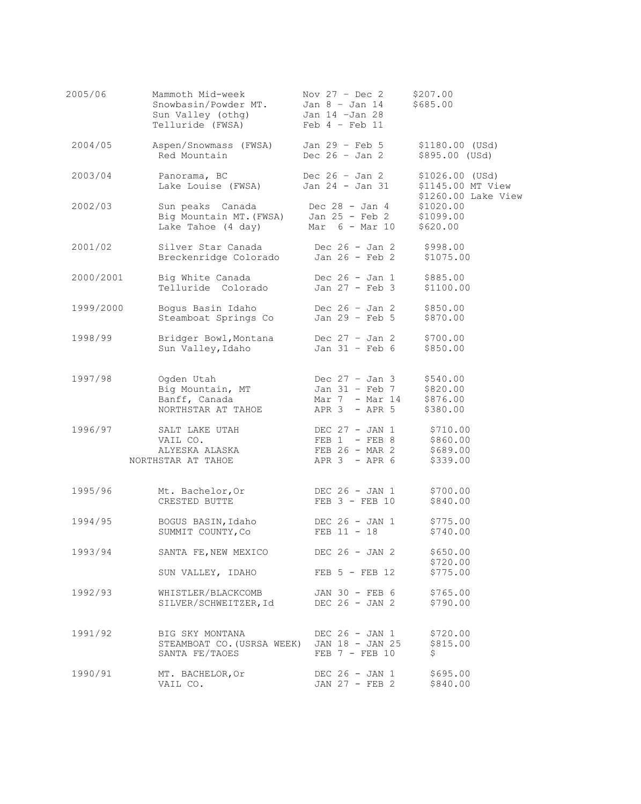| 2005/06   | Mammoth Mid-week<br>Snowbasin/Powder MT.<br>Sun Valley (othg)<br>Telluride (FWSA) | Nov $27 - Dec 2$<br>Jan $8$ - Jan 14<br>Jan 14 -Jan 28<br>$Feb 4 - Feb 11$ | \$207.00<br>\$685.00                                      |
|-----------|-----------------------------------------------------------------------------------|----------------------------------------------------------------------------|-----------------------------------------------------------|
| 2004/05   | Aspen/Snowmass (FWSA)                                                             | Jan 29 - Feb 5                                                             | \$1180.00 (USd)                                           |
|           | Red Mountain                                                                      | Dec $26 - Jan 2$                                                           | \$895.00 (USd)                                            |
| 2003/04   | Panorama, BC                                                                      | Dec $26 - Jan 2$                                                           | $$1026.00$ (USd)                                          |
|           | Lake Louise (FWSA)                                                                | Jan 24 - Jan 31                                                            | \$1145.00 MT View                                         |
| 2002/03   | Sun peaks Canada<br>Big Mountain MT. (FWSA)<br>Lake Tahoe (4 day)                 | Dec 28 - Jan 4<br>Jan 25 - Feb 2<br>Mar $6$ - Mar $10$                     | \$1260.00 Lake View<br>\$1020.00<br>\$1099.00<br>\$620.00 |
| 2001/02   | Silver Star Canada                                                                | Dec $26 - Jan 2$                                                           | \$998.00                                                  |
|           | Breckenridge Colorado                                                             | Jan 26 - Feb 2                                                             | \$1075.00                                                 |
| 2000/2001 | Big White Canada                                                                  | Dec $26 - Jan 1$                                                           | \$885.00                                                  |
|           | Telluride Colorado                                                                | Jan 27 - Feb 3                                                             | \$1100.00                                                 |
| 1999/2000 | Bogus Basin Idaho                                                                 | Dec $26 - Jan 2$                                                           | \$850.00                                                  |
|           | Steamboat Springs Co                                                              | Jan 29 - Feb 5                                                             | \$870.00                                                  |
| 1998/99   | Bridger Bowl, Montana                                                             | Dec $27 - Jan 2$                                                           | \$700.00                                                  |
|           | Sun Valley, Idaho                                                                 | Jan $31$ - Feb $6$                                                         | \$850.00                                                  |
| 1997/98   | Ogden Utah                                                                        | Dec $27 - Jan 3$                                                           | \$540.00                                                  |
|           | Big Mountain, MT                                                                  | Jan 31 - Feb 7                                                             | \$820.00                                                  |
|           | Banff, Canada                                                                     | Mar 7 - Mar 14                                                             | \$876.00                                                  |
|           | NORTHSTAR AT TAHOE                                                                | $APR$ 3 - $APR$ 5                                                          | \$380.00                                                  |
| 1996/97   | SALT LAKE UTAH                                                                    | DEC $27 - JAN 1$                                                           | \$710.00                                                  |
|           | VAIL CO.                                                                          | FEB $1 - FEB 8$                                                            | \$860.00                                                  |
|           | ALYESKA ALASKA                                                                    | $FEB$ 26 - MAR 2                                                           | \$689.00                                                  |
|           | NORTHSTAR AT TAHOE                                                                | $APR$ 3 - $APR$ 6                                                          | \$339.00                                                  |
| 1995/96   | Mt. Bachelor, Or                                                                  | DEC $26 - JAN 1$                                                           | \$700.00                                                  |
|           | CRESTED BUTTE                                                                     | $FEB$ 3 - $FEB$ 10                                                         | \$840.00                                                  |
| 1994/95   | BOGUS BASIN, Idaho                                                                | DEC 26 - JAN 1                                                             | \$775.00                                                  |
|           | SUMMIT COUNTY, Co                                                                 | $FEB 11 - 18$                                                              | \$740.00                                                  |
| 1993/94   | SANTA FE, NEW MEXICO                                                              | DEC 26 - JAN 2                                                             | \$650.00<br>\$720.00                                      |
| 1992/93   | SUN VALLEY, IDAHO                                                                 | $FEB$ 5 - $FEB$ 12                                                         | \$775.00                                                  |
|           | WHISTLER/BLACKCOMB                                                                | JAN 30 - FEB 6                                                             | \$765.00                                                  |
|           | SILVER/SCHWEITZER, Id                                                             | DEC 26 - JAN 2                                                             | \$790.00                                                  |
| 1991/92   | BIG SKY MONTANA<br>STEAMBOAT CO. (USRSA WEEK) JAN 18 - JAN 25<br>SANTA FE/TAOES   | DEC 26 - JAN 1<br>$FEB$ 7 - $FEB$ 10                                       | \$720.00<br>\$815.00<br>\$                                |
| 1990/91   | MT. BACHELOR, Or                                                                  | DEC 26 - JAN 1                                                             | \$695.00                                                  |
|           | VAIL CO.                                                                          | JAN 27 - FEB 2                                                             | \$840.00                                                  |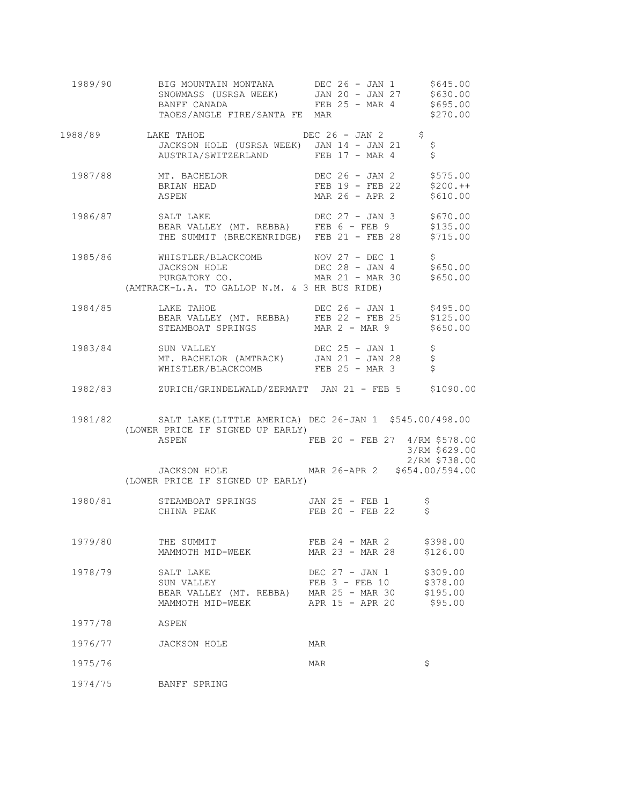|         | 1989/90 BIG MOUNTAIN MONTANA DEC 26 - JAN 1 \$645.00                                                                                              |                                      |                                |
|---------|---------------------------------------------------------------------------------------------------------------------------------------------------|--------------------------------------|--------------------------------|
|         | 1988/89 LAKE TAHOE DEC 26 - JAN 2 \$<br>JACKSON HOLE (USRSA WEEK) JAN 14 - JAN 21<br>AUSTRIA/SWITZERLAND FEB 17 - MAR 4                           |                                      | \$                             |
|         | AUSTRIA/SWITZERLAND<br>1987/88 MT. BACHELOR DEC 26 - JAN 2 \$575.00<br>BRIAN HEAD FEB 19 - FEB 22 \$200.++<br>MAR 26 - APR 2 \$610.00             |                                      |                                |
|         | 1986/87 SALT LAKE DEC 27 - JAN 3 \$670.00<br>BEAR VALLEY (MT. REBBA) FEB 6 - FEB 9 \$135.00<br>THE SUMMIT (BRECKENRIDGE) FEB 21 - FEB 28 \$715.00 |                                      |                                |
|         | 1985/86 WHISTLER/BLACKCOMB NOV 27 - DEC 1<br>(AMTRACK-L.A. TO GALLOP N.M. & 3 HR BUS RIDE)                                                        |                                      | \$<br>\$650.00                 |
|         | 1984/85 LAKE TAHOE DEC 26 - JAN 1 \$495.00<br>BEAR VALLEY (MT. REBBA) FEB 22 - FEB 25 \$125.00<br>STEAMBOAT SPRINGS MAR 2 - MAR 9 \$650.00        |                                      |                                |
|         | 1983/84 SUN VALLEY DEC 25 - JAN 1 \$<br>MT. BACHELOR (AMTRACK) JAN 21 - JAN 28 \$<br>WHISTLER/BLACKCOMB FEB 25 - MAR 3 \$                         |                                      |                                |
|         | 1982/83 ZURICH/GRINDELWALD/ZERMATT JAN 21 - FEB 5 \$1090.00                                                                                       |                                      |                                |
|         | 1981/82 SALT LAKE (LITTLE AMERICA) DEC 26-JAN 1 \$545.00/498.00<br>(LOWER PRICE IF SIGNED UP EARLY)                                               |                                      |                                |
|         | ASPEN<br>JACKSON HOLE MAR 26-APR 2 \$654.00/594.00                                                                                                | FEB 20 - FEB 27 4/RM \$578.00        | 3/RM \$629.00<br>2/RM \$738.00 |
|         | (LOWER PRICE IF SIGNED UP EARLY)                                                                                                                  |                                      |                                |
|         | 1980/81 STEAMBOAT SPRINGS JAN 25 - FEB 1 \$<br>CHINA PEAK                                                                                         | $FEB$ 20 - $FEB$ 22                  |                                |
| 1979/80 | THE SUMMIT<br>MAMMOTH MID-WEEK                                                                                                                    | FEB 24 - MAR 2<br>MAR 23 - MAR 28    | \$398.00<br>\$126.00           |
| 1978/79 | SALT LAKE<br>SUN VALLEY<br>BEAR VALLEY (MT. REBBA) MAR 25 - MAR 30 \$195.00<br>MAMMOTH MID-WEEK APR 15 - APR 20 \$95.00                           | DEC 27 - JAN 1<br>$FEB$ 3 - $FEB$ 10 | \$309.00<br>\$378.00           |
| 1977/78 | ASPEN                                                                                                                                             |                                      |                                |
|         | 1976/77 JACKSON HOLE<br>MAR                                                                                                                       |                                      |                                |
| 1975/76 | MAR                                                                                                                                               |                                      | \$                             |
| 1974/75 | BANFF SPRING                                                                                                                                      |                                      |                                |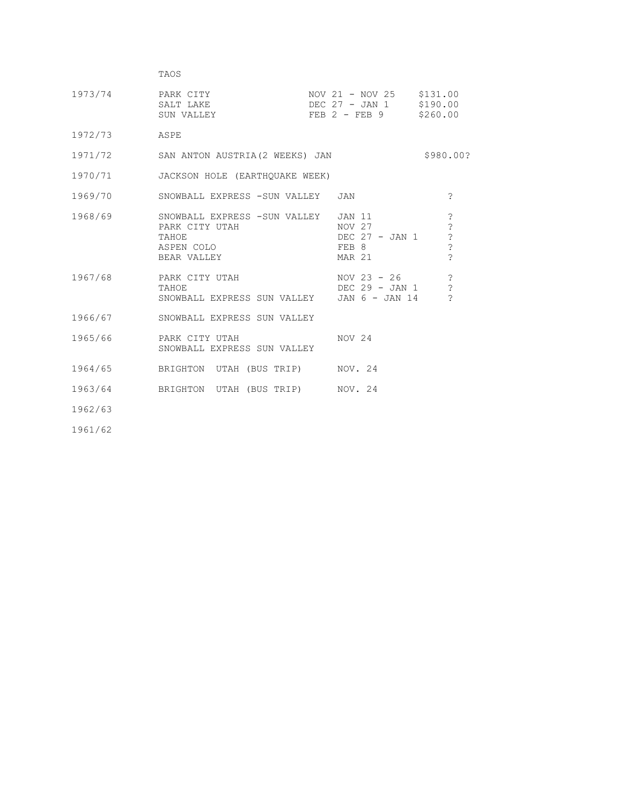| TAOS |  |
|------|--|
|------|--|

| 1973/74 | PARK CITY  | NOV 21 - NOV 25   | \$131.00 |
|---------|------------|-------------------|----------|
|         | SALT LAKE  | DEC 27 - JAN 1    | \$190.00 |
|         | SUN VALLEY | $FEB$ 2 - $FEB$ 9 | \$260.00 |

1972/73 ASPE

| 1971/72 |  | SAN ANTON AUSTRIA (2 WEEKS) JAN |  |  | \$980.00? |
|---------|--|---------------------------------|--|--|-----------|
|---------|--|---------------------------------|--|--|-----------|

1970/71 JACKSON HOLE (EARTHQUAKE WEEK)

| 1969/70 | SNOWBALL EXPRESS -SUN VALLEY JAN                                                     |  |                                                              |  |  |                    |  |
|---------|--------------------------------------------------------------------------------------|--|--------------------------------------------------------------|--|--|--------------------|--|
| 1968/69 | SNOWBALL EXPRESS -SUN VALLEY<br>PARK CITY UTAH<br>TAHOE<br>ASPEN COLO<br>BEAR VALLEY |  | JAN 11<br>NOV 27<br>DEC 27 - JAN 1<br>FEB 8<br><b>MAR 21</b> |  |  | $\mathcal{P}$<br>? |  |
|         |                                                                                      |  |                                                              |  |  |                    |  |

- 1967/68 PARK CITY UTAH NOV 23 26 ? TAHOE TAHOUR DEC 29 - JAN 1 ? SNOWBALL EXPRESS SUN VALLEY JAN 6 - JAN 14 ?
	- 1966/67 SNOWBALL EXPRESS SUN VALLEY
	- 1965/66 PARK CITY UTAH NOV 24 SNOWBALL EXPRESS SUN VALLEY
	- 1964/65 BRIGHTON UTAH (BUS TRIP) NOV. 24
	- 1963/64 BRIGHTON UTAH (BUS TRIP) NOV. 24

1962/63

1961/62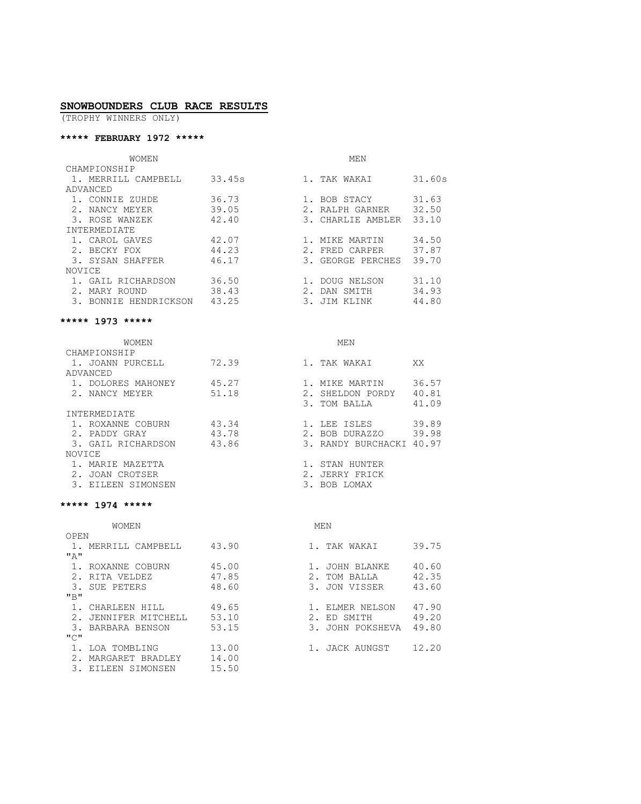#### **SNOWBOUNDERS CLUB RACE RESULTS**

(TROPHY WINNERS ONLY)

#### **\*\*\*\*\* FEBRUARY 1972 \*\*\*\*\***

| WOMEN                    |        | MEN                           |  |  |  |  |
|--------------------------|--------|-------------------------------|--|--|--|--|
| CHAMPIONSHIP             |        |                               |  |  |  |  |
| 1. MERRILL CAMPBELL      | 33.45s | 31.60s<br>TAK WAKAI           |  |  |  |  |
| ADVANCED                 |        |                               |  |  |  |  |
| 1. CONNIE ZUHDE          | 36.73  | 31.63<br>1. BOB STACY         |  |  |  |  |
| NANCY MEYER              | 39.05  | 32.50<br>RALPH GARNER         |  |  |  |  |
| 3. ROSE WANZEK           | 42.40  | 33.10<br>CHARLIE AMBLER<br>3. |  |  |  |  |
| INTERMEDIATE             |        |                               |  |  |  |  |
| 1. CAROL GAVES           | 42.07  | 34.50<br>MIKE MARTIN          |  |  |  |  |
| BECKY FOX                | 44.23  | 37.87<br>FRED CARPER          |  |  |  |  |
| 3. SYSAN SHAFFER         | 46.17  | 39.70<br>GEORGE PERCHES<br>3. |  |  |  |  |
| NOVICE                   |        |                               |  |  |  |  |
| 1. GAIL RICHARDSON       | 36.50  | 31.10<br>1. DOUG NELSON       |  |  |  |  |
| MARY ROUND               | 38.43  | 34.93<br>DAN SMITH            |  |  |  |  |
| BONNIE HENDRICKSON<br>3. | 43.25  | 44.80<br>JIM KLINK            |  |  |  |  |

#### **\*\*\*\*\* 1973 \*\*\*\*\***

| <b>WOMEN</b>       |       | MEN                         |  |  |  |  |
|--------------------|-------|-----------------------------|--|--|--|--|
| CHAMPIONSHIP       |       |                             |  |  |  |  |
| 1. JOANN PURCELL   | 72.39 | TAK WAKAI<br>XX             |  |  |  |  |
| ADVANCED           |       |                             |  |  |  |  |
| 1. DOLORES MAHONEY | 45.27 | MIKE MARTIN<br>36.57        |  |  |  |  |
| 2. NANCY MEYER     | 51.18 | 40.81<br>SHELDON PORDY      |  |  |  |  |
|                    |       | 41.09<br>TOM BALLA<br>3.    |  |  |  |  |
| INTERMEDIATE       |       |                             |  |  |  |  |
| 1. ROXANNE COBURN  | 43.34 | 39.89<br>LEE ISLES          |  |  |  |  |
| PADDY GRAY         | 43.78 | 39.98<br>2.1<br>BOB DURAZZO |  |  |  |  |
| 3. GAIL RICHARDSON | 43.86 | 40.97<br>3. RANDY BURCHACKI |  |  |  |  |
| NOVICE             |       |                             |  |  |  |  |
| MARIE MAZETTA      |       | STAN HUNTER                 |  |  |  |  |
| JOAN CROTSER       |       | JERRY FRICK                 |  |  |  |  |
| EILEEN SIMONSEN    |       | BOB LOMAX                   |  |  |  |  |
|                    |       |                             |  |  |  |  |

#### **\*\*\*\*\* 1974 \*\*\*\*\***

|      | WOMEN             |       |    | MEN            |       |
|------|-------------------|-------|----|----------------|-------|
| OPEN |                   |       |    |                |       |
|      | MERRILL CAMPBELL  | 43.90 |    | TAK WAKAI      | 39.75 |
| "A"  |                   |       |    |                |       |
|      | ROXANNE COBURN    | 45.00 |    | JOHN BLANKE    | 40.60 |
|      | RITA VELDEZ       | 47.85 |    | TOM BALLA      | 42.35 |
| 3.   | SUE PETERS        | 48.60 | 3. | JON VISSER     | 43.60 |
| "B"  |                   |       |    |                |       |
|      | CHARLEEN HILL     | 49.65 |    | ELMER NELSON   | 47.90 |
|      | JENNIFER MITCHELL | 53.10 |    | ED SMITH       | 49.20 |
|      | 3. BARBARA BENSON | 53.15 | 3. | JOHN POKSHEVA  | 49.80 |
| "C"  |                   |       |    |                |       |
|      | LOA TOMBLING      | 13.00 |    | 1. JACK AUNGST | 12.20 |
|      | MARGARET BRADLEY  | 14.00 |    |                |       |
|      | EILEEN SIMONSEN   | 15.50 |    |                |       |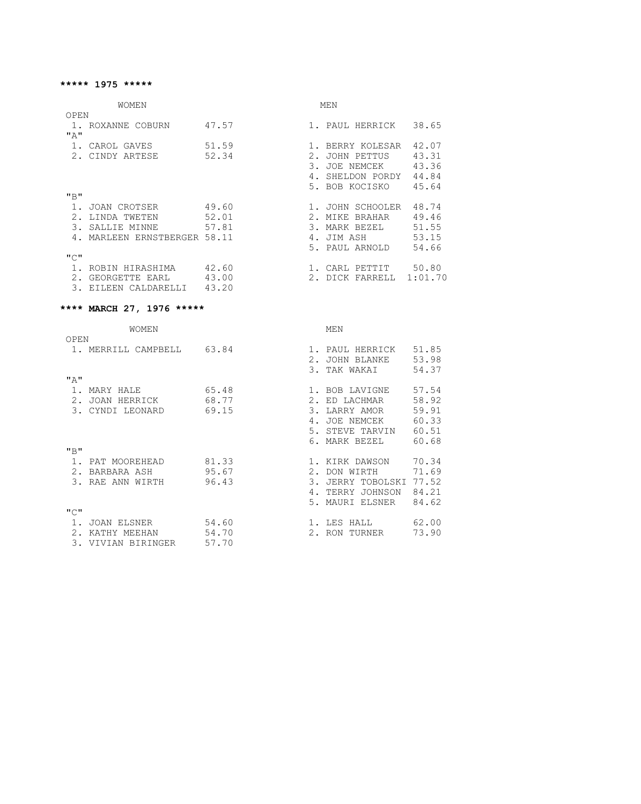### WOMEN

|--|--|

| OPEN          |                             |       |                |                 |         |
|---------------|-----------------------------|-------|----------------|-----------------|---------|
|               | 1. ROXANNE COBURN           | 47.57 |                | 1. PAUL HERRICK | 38.65   |
| "A"           |                             |       |                |                 |         |
|               | CAROL GAVES                 | 51.59 |                | BERRY KOLESAR   | 42.07   |
|               | CINDY ARTESE                | 52.34 | 2.             | JOHN PETTUS     | 43.31   |
|               |                             |       | 3 <sub>1</sub> | JOE NEMCEK      | 43.36   |
|               |                             |       | 4.             | SHELDON PORDY   | 44.84   |
|               |                             |       |                | 5. BOB KOCISKO  | 45.64   |
| "B"           |                             |       |                |                 |         |
|               | JOAN CROTSER                | 49.60 |                | JOHN SCHOOLER   | 48.74   |
|               | LINDA TWETEN                | 52.01 | 2.             | BRAHAR<br>MIKE  | 49.46   |
| $\mathcal{E}$ | SALLIE MINNE                | 57.81 |                | 3. MARK BEZEL   | 51.55   |
|               | MARLEEN ERNSTBERGER 58.11   |       | 4.             | JIM ASH         | 53.15   |
|               |                             |       |                | 5. PAUL ARNOLD  | 54.66   |
| "C"           |                             |       |                |                 |         |
|               | ROBIN HIRASHIMA             | 42.60 |                | CARL PETTIT     | 50.80   |
|               | GEORGETTE EARL              | 43.00 | 2.1            | DICK FARRELL    | 1:01.70 |
|               | CALDARELLI<br><b>EILEEN</b> | 43.20 |                |                 |         |

# **\*\*\*\* MARCH 27, 1976 \*\*\*\*\***

|               | WOMEN            |       |                 | MEN                   |       |
|---------------|------------------|-------|-----------------|-----------------------|-------|
| OPEN          |                  |       |                 |                       |       |
|               | MERRILL CAMPBELL | 63.84 |                 | PAUL HERRICK          | 51.85 |
|               |                  |       | 2.1             | JOHN BLANKE           | 53.98 |
|               |                  |       | $\mathcal{B}$ . | TAK WAKAI             | 54.37 |
| "A"           |                  |       |                 |                       |       |
|               | MARY HALE        | 65.48 |                 | 1. BOB LAVIGNE        | 57.54 |
| $2$ .         | JOAN HERRICK     | 68.77 | 2.              | ED LACHMAR            | 58.92 |
| 3.            | CYNDI LEONARD    | 69.15 | $\mathcal{E}$ . | LARRY AMOR            | 59.91 |
|               |                  |       | 4.              | <b>JOE NEMCEK</b>     | 60.33 |
|               |                  |       | 5.              | STEVE TARVIN          | 60.51 |
|               |                  |       |                 | 6. MARK BEZEL         | 60.68 |
| "B"           |                  |       |                 |                       |       |
|               | PAT MOOREHEAD    | 81.33 |                 | 1. KIRK DAWSON        | 70.34 |
| 2.            | BARBARA ASH      | 95.67 | 2.1             | DON WIRTH             | 71.69 |
|               | RAE ANN WIRTH    | 96.43 | 3.              | <b>JERRY TOBOLSKI</b> | 77.52 |
|               |                  |       | 4.              | TERRY JOHNSON         | 84.21 |
|               |                  |       | 5.              | MAURI ELSNER          | 84.62 |
| "C"           |                  |       |                 |                       |       |
|               | JOAN ELSNER      | 54.60 |                 | LES HALL              | 62.00 |
| $\mathcal{P}$ | KATHY MEEHAN     | 54.70 |                 | 2. RON<br>TURNER      | 73.90 |
| 3.            | VIVIAN BIRINGER  | 57.70 |                 |                       |       |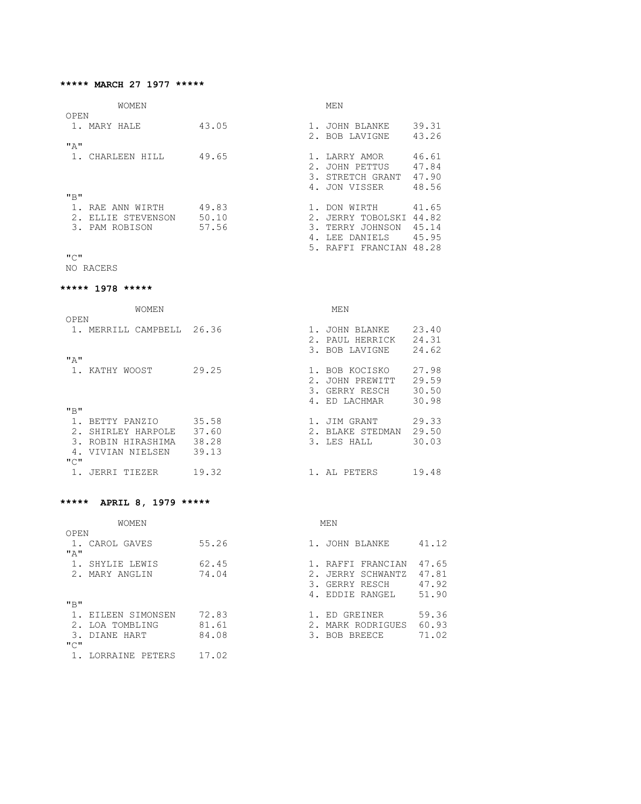#### **\*\*\*\*\* MARCH 27 1977 \*\*\*\*\***

| --------<br>١M<br>W<br>N<br>---<br> | ----<br>NЛ<br>N |
|-------------------------------------|-----------------|
|-------------------------------------|-----------------|

| OPEN            |       |               |                    |       |
|-----------------|-------|---------------|--------------------|-------|
| 1. MARY HALE    | 43.05 |               | <b>JOHN BLANKE</b> | 39.31 |
|                 |       |               | 2. BOB LAVIGNE     | 43.26 |
| "A"             |       |               |                    |       |
| CHARLEEN HILL   | 49.65 |               | LARRY AMOR         | 46.61 |
|                 |       |               | JOHN PETTUS        | 47.84 |
|                 |       |               | 3. STRETCH GRANT   | 47.90 |
|                 |       | 4.            | JON VISSER         | 48.56 |
| "B"             |       |               |                    |       |
| RAE ANN WIRTH   | 49.83 |               | DON WIRTH          | 41.65 |
| ELLIE STEVENSON | 50.10 |               | JERRY TOBOLSKI     | 44.82 |
| 3. PAM ROBISON  | 57.56 | $\mathcal{R}$ | TERRY JOHNSON      | 45.14 |
|                 |       |               | LEE DANIELS        | 45.95 |
|                 |       |               | 5. RAFFI FRANCIAN  | 48.28 |

"C"

NO RACERS

#### **\*\*\*\*\* 1978 \*\*\*\*\***

| <b>WOMEN</b>          |       |       | MEN            |       |
|-----------------------|-------|-------|----------------|-------|
| OPEN                  |       |       |                |       |
| MERRILL CAMPBELL      | 26.36 |       | JOHN BLANKE    | 23.40 |
|                       |       |       | PAUL HERRICK   | 24.31 |
|                       |       |       | 3. BOB LAVIGNE | 24.62 |
| "A"                   |       |       |                |       |
| KATHY WOOST           | 29.25 |       | BOB KOCISKO    | 27.98 |
|                       |       | $2$ . | JOHN PREWITT   | 29.59 |
|                       |       | 3.    | GERRY RESCH    | 30.50 |
|                       |       |       | 4. ED LACHMAR  | 30.98 |
| "B"                   |       |       |                |       |
| BETTY PANZIO          | 35.58 |       | JIM GRANT      | 29.33 |
| 2.<br>SHIRLEY HARPOLE | 37.60 | 2.    | BLAKE STEDMAN  | 29.50 |
| 3.<br>ROBIN HIRASHIMA | 38.28 |       | 3. LES HALL    | 30.03 |
| VIVIAN NIELSEN        | 39.13 |       |                |       |
| "C"                   |       |       |                |       |
| JERRI TIEZER          | 19.32 |       | 1. AL PETERS   | 19.48 |

# **\*\*\*\*\* APRIL 8, 1979 \*\*\*\*\***

| <b>WOMEN</b>    |       | MEN                            |  |
|-----------------|-------|--------------------------------|--|
| OPEN            |       |                                |  |
| 1. CAROL GAVES  | 55.26 | 41.12<br>JOHN BLANKE           |  |
| "A"             |       |                                |  |
| SHYLIE LEWIS    | 62.45 | 47.65<br>RAFFI FRANCIAN        |  |
| 2. MARY ANGLIN  | 74.04 | 47.81<br>2.1<br>JERRY SCHWANTZ |  |
|                 |       | 47.92<br>3.<br>GERRY RESCH     |  |
|                 |       | 51.90<br>4. EDDIE RANGEL       |  |
| "B"             |       |                                |  |
| EILEEN SIMONSEN | 72.83 | 59.36<br>ED GREINER            |  |
| LOA TOMBLING    | 81.61 | 60.93<br>2.1<br>MARK RODRIGUES |  |
| 3. DIANE HART   | 84.08 | 71.02<br>3. BOB BREECE         |  |
| "∩ "            |       |                                |  |
| LORRAINE PETERS | 17.02 |                                |  |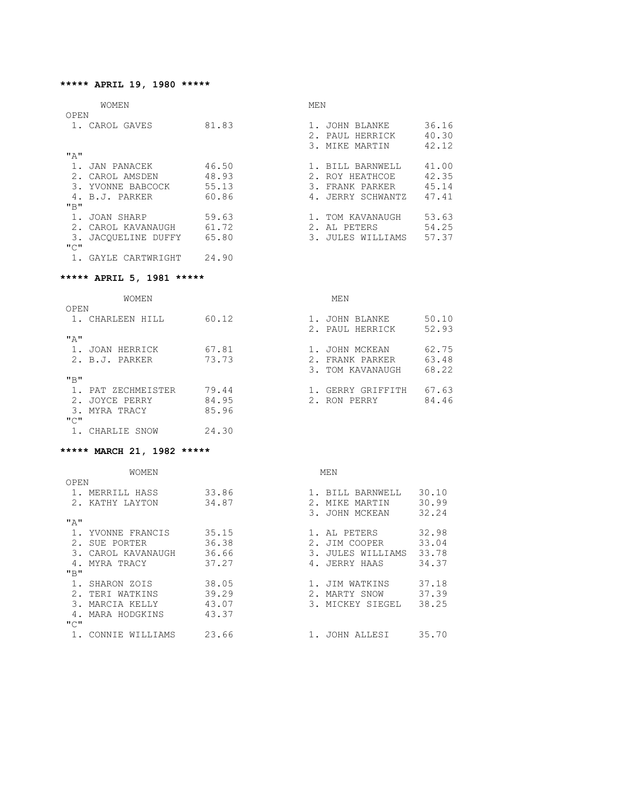#### **\*\*\*\*\* APRIL 19, 1980 \*\*\*\*\***

|      | <b>WOMEN</b>     |       | MEN |                   |       |
|------|------------------|-------|-----|-------------------|-------|
| OPEN |                  |       |     |                   |       |
|      | CAROL GAVES      | 81.83 |     | JOHN BLANKE       | 36.16 |
|      |                  |       | 2.1 | PAUL HERRICK      | 40.30 |
|      |                  |       |     | 3. MIKE MARTIN    | 42.12 |
| "A"  |                  |       |     |                   |       |
|      | JAN PANACEK      | 46.50 |     | 1. BILL BARNWELL  | 41.00 |
|      | CAROL AMSDEN     | 48.93 |     | 2. ROY HEATHCOE   | 42.35 |
| 3.   | YVONNE BABCOCK   | 55.13 | 3.  | FRANK PARKER      | 45.14 |
|      | 4. B.J. PARKER   | 60.86 |     | 4. JERRY SCHWANTZ | 47.41 |
| "B"  |                  |       |     |                   |       |
|      | JOAN SHARP       | 59.63 |     | TOM KAVANAUGH     | 53.63 |
|      | CAROL KAVANAUGH  | 61.72 |     | 2. AL PETERS      | 54.25 |
| 3.   | JACOUELINE DUFFY | 65.80 | 3.  | JULES WILLIAMS    | 57.37 |
| "C"  |                  |       |     |                   |       |
|      | GAYLE CARTWRIGHT | 24.90 |     |                   |       |

# **\*\*\*\*\* APRIL 5, 1981 \*\*\*\*\***

WOMEN MEN

| OPEN            |       |                           |
|-----------------|-------|---------------------------|
| CHARLEEN HILL   | 60.12 | 50.10<br>1. JOHN BLANKE   |
|                 |       | 52.93<br>2. PAUL HERRICK  |
| "A"             |       |                           |
| JOAN HERRICK    | 67.81 | 62.75<br>1. JOHN MCKEAN   |
| 2. B.J. PARKER  | 73.73 | 63.48<br>2. FRANK PARKER  |
|                 |       | 68.22<br>3. TOM KAVANAUGH |
| "B"             |       |                           |
| PAT ZECHMEISTER | 79.44 | 67.63<br>GERRY GRIFFITH   |
| JOYCE PERRY     | 84.95 | 84.46<br>2. RON PERRY     |
| 3. MYRA TRACY   | 85.96 |                           |
| "C"             |       |                           |

# **\*\*\*\*\* MARCH 21, 1982 \*\*\*\*\***

1. CHARLIE SNOW 24.30

|  | ***** MARCH 21, 1982 **** |  |  |  |
|--|---------------------------|--|--|--|
|--|---------------------------|--|--|--|

|       | WOMEN              |       | MEN                                           |
|-------|--------------------|-------|-----------------------------------------------|
| OPEN  |                    |       |                                               |
|       | MERRILL HASS       | 33.86 | 30.10<br>BILL BARNWELL                        |
|       | KATHY LAYTON       | 34.87 | 30.99<br>2.<br>MARTIN<br>MIKE                 |
|       |                    |       | 32.24<br>3.<br>JOHN MCKEAN                    |
| " A " |                    |       |                                               |
|       | YVONNE FRANCIS     | 35.15 | 32.98<br>AL PETERS                            |
| 2.    | SUE PORTER         | 36.38 | 33.04<br>2.1<br>JIM COOPER                    |
|       | CAROL KAVANAUGH    | 36.66 | $\mathcal{B}$ .<br>33.78<br>JULES<br>WILLIAMS |
|       | MYRA TRACY         | 37.27 | 34.37<br>4.<br>JERRY HAAS                     |
| "B"   |                    |       |                                               |
|       | SHARON ZOIS        | 38.05 | 37.18<br>JIM WATKINS                          |
|       | TERI WATKINS       | 39.29 | 37.39<br>2.<br>MARTY SNOW                     |
| 3     | MARCIA KELLY       | 43.07 | 38.25<br>3. MICKEY SIEGEL                     |
|       | MARA HODGKINS      | 43.37 |                                               |
| "C"   |                    |       |                                               |
|       | CONNIE<br>WILLIAMS | 23.66 | 35.70<br>JOHN ALLESI                          |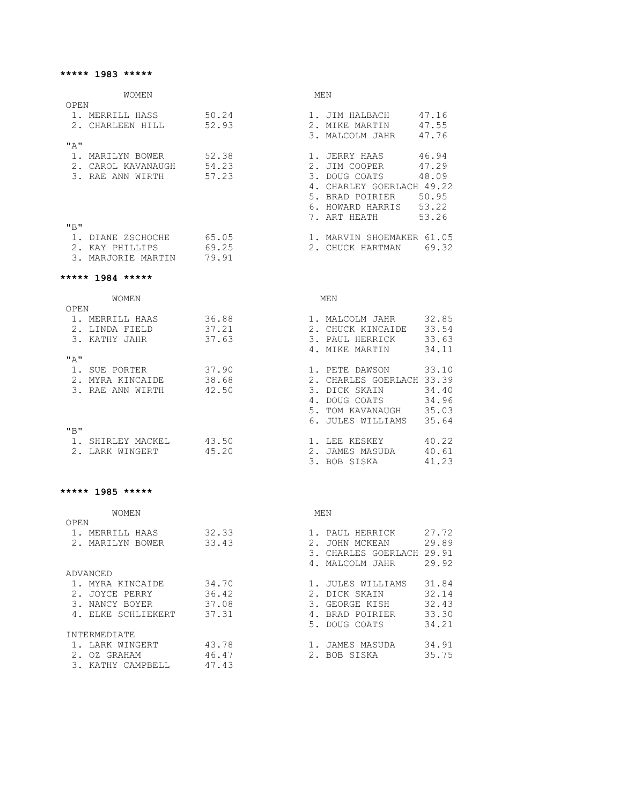#### **\*\*\*\*\* 1983 \*\*\*\*\***

| <b>WOMEN</b>                                                                 |                             | MEN                                                                                                                                                     |
|------------------------------------------------------------------------------|-----------------------------|---------------------------------------------------------------------------------------------------------------------------------------------------------|
| OPEN                                                                         |                             |                                                                                                                                                         |
| 1. MERRILL HASS 50.24<br>2. CHARLEEN HILL 52.93                              |                             | 1. JIM HALBACH 47.16<br>2. MIKE MARTIN 47.55<br>3. MALCOLM JAHR 47.76                                                                                   |
| "A"                                                                          |                             |                                                                                                                                                         |
| 1. MARILYN BOWER 52.38<br>2. CAROL KAVANAUGH 54.23<br>3. RAE ANN WIRTH 57.23 |                             | 1. JERRY HAAS 46.94<br>2. JIM COOPER 47.29<br>3. DOUG COATS 48.09<br>4. CHARLEY GOERLACH 49.22<br>5. BRAD POIRIER 50.95<br>6. HOWARD HARRIS 53.22       |
| "B"                                                                          |                             | 7. ART HEATH<br>53.26                                                                                                                                   |
| 1. DIANE ZSCHOCHE 65.05<br>2. KAY PHILLIPS 69.25<br>3. MARJORIE MARTIN 79.91 |                             | 1. MARVIN SHOEMAKER 61.05<br>2. CHUCK HARTMAN 69.32                                                                                                     |
| ***** 1984 *****                                                             |                             |                                                                                                                                                         |
| WOMEN<br>OPEN                                                                |                             | MEN                                                                                                                                                     |
| 1. MERRILL HAAS 36.88<br>2. LINDA FIELD 37.21<br>3. KATHY JAHR 37.63         |                             | 1. MALCOLM JAHR 32.85<br>2. CHUCK KINCAIDE 33.54<br>3. PAUL HERRICK 33.63<br>4. MIKE MARTIN 34.11                                                       |
| $\mathbf{u} \uparrow \mathbf{u}$                                             |                             |                                                                                                                                                         |
| 1. SUE PORTER 37.90<br>2. MYRA KINCAIDE 38.68<br>3. RAE ANN WIRTH 42.50      |                             | 33.10<br>1. PETE DAWSON<br>2. CHARLES GOERLACH 33.39<br>3. DICK SKAIN 34.40<br>4. DOUG COATS 34.96<br>5. TOM KAVANAUGH 35.03<br>6. JULES WILLIAMS 35.64 |
| "B"<br>---------------                                                       | $\sim$ $\sim$ $\sim$ $\sim$ | $\sim$ $\sim$ $\sim$                                                                                                                                    |

| 1. SHIRLEY MACKEL | 43.50 | 1. LEE KESKEY   | 40.22 |
|-------------------|-------|-----------------|-------|
| 2. LARK WINGERT   | 45.20 | 2. JAMES MASUDA | 40.61 |
|                   |       | 3. BOB SISKA    | 41.23 |

#### **\*\*\*\*\* 1985 \*\*\*\*\***

| <b>WOMEN</b>        | MEN   |                              |
|---------------------|-------|------------------------------|
| OPEN                |       |                              |
| MERRILL HAAS        | 32.33 | 27.72<br>PAUL HERRICK        |
| MARILYN<br>BOWER    | 33.43 | 29.89<br>JOHN MCKEAN         |
|                     |       | CHARLES GOERLACH 29.91<br>3. |
|                     |       | 29.92<br>4. MALCOLM JAHR     |
| ADVANCED            |       |                              |
| MYRA KINCAIDE       | 34.70 | 31.84<br>JULES WILLIAMS      |
| JOYCE PERRY         | 36.42 | 32.14<br>2.1<br>DICK SKAIN   |
| NANCY BOYER         | 37.08 | 32.43<br>3.<br>GEORGE KISH   |
| 4. ELKE SCHLIEKERT  | 37.31 | 33.30<br>BRAD POIRIER        |
|                     |       | 34.21<br>5. DOUG COATS       |
| <b>TNTERMEDIATE</b> |       |                              |
| LARK WINGERT        | 43.78 | 34.91<br>JAMES MASUDA        |
| OZ GRAHAM           | 46.47 | 35.75<br>2. BOB SISKA        |
| KATHY CAMPBELL      | 47.43 |                              |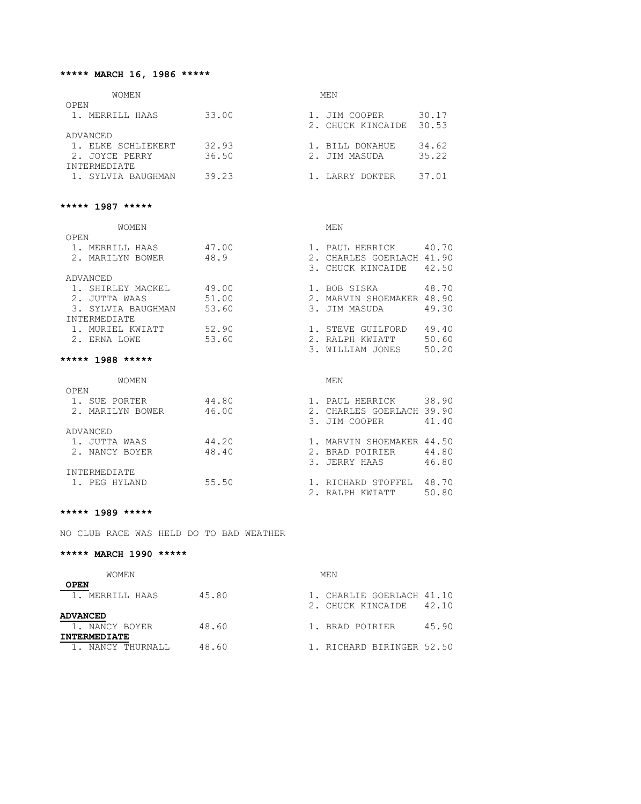# **\*\*\*\*\* MARCH 16, 1986 \*\*\*\*\***

| <b>WOMEN</b>       |       | MEN                        |
|--------------------|-------|----------------------------|
| OPEN               |       |                            |
| 1. MERRILL HAAS    | 33.00 | 30.17<br>1. JIM COOPER     |
|                    |       | 30.53<br>2. CHUCK KINCAIDE |
| ADVANCED           |       |                            |
| 1. ELKE SCHLIEKERT | 32.93 | 34.62<br>1. BILL DONAHUE   |
| 2. JOYCE PERRY     | 36.50 | 35.22<br>2. JIM MASUDA     |
| INTERMEDIATE       |       |                            |
| 1. SYLVIA BAUGHMAN | 39.23 | 37.01<br>1. LARRY DOKTER   |

#### **\*\*\*\*\* 1987 \*\*\*\*\***

| <b>WOMEN</b>        |       | MEN               |       |
|---------------------|-------|-------------------|-------|
| OPEN                |       |                   |       |
| MERRILL HAAS        | 47.00 | PAUL HERRICK      | 40.70 |
| MARILYN BOWER       | 48.9  | CHARLES GOERLACH  | 41.90 |
|                     |       | 3. CHUCK KINCAIDE | 42.50 |
| ADVANCED            |       |                   |       |
| SHIRLEY MACKEL      | 49.00 | 1. BOB SISKA      | 48.70 |
| JUTTA WAAS          | 51.00 | MARVIN SHOEMAKER  | 48.90 |
| 3. SYLVIA BAUGHMAN  | 53.60 | 3. JIM MASUDA     | 49.30 |
| <b>INTERMEDIATE</b> |       |                   |       |
| 1. MURIEL KWIATT    | 52.90 | STEVE GUILFORD    | 49.40 |
| 2. ERNA LOWE        | 53.60 | RALPH KWIATT      | 50.60 |
|                     |       | WILLIAM JONES     | 50.20 |

#### **\*\*\*\*\* 1988 \*\*\*\*\***

| WOMEN               |       |     | MEN                       |       |
|---------------------|-------|-----|---------------------------|-------|
| OPEN                |       |     |                           |       |
| SUE PORTER          | 44.80 |     | 1. PAUL HERRICK           | 38.90 |
| 2. MARILYN BOWER    | 46.00 | 2.1 | CHARLES GOERLACH 39.90    |       |
|                     |       |     | 3. JIM COOPER             | 41.40 |
| ADVANCED            |       |     |                           |       |
| JUTTA WAAS          | 44.20 |     | 1. MARVIN SHOEMAKER 44.50 |       |
| 2. NANCY BOYER      | 48.40 |     | 2. BRAD POIRIER           | 44.80 |
|                     |       |     | 3. JERRY HAAS             | 46.80 |
| <b>INTERMEDIATE</b> |       |     |                           |       |
| 1. PEG HYLAND       | 55.50 |     | 1. RICHARD STOFFEL        | 48.70 |
|                     |       |     | RALPH KWIATT              | 50.80 |

#### **\*\*\*\*\* 1989 \*\*\*\*\***

NO CLUB RACE WAS HELD DO TO BAD WEATHER

#### **\*\*\*\*\* MARCH 1990 \*\*\*\*\***

| <b>WOMEN</b>        |       | MEN |                           |       |  |
|---------------------|-------|-----|---------------------------|-------|--|
| <b>OPEN</b>         |       |     |                           |       |  |
| 1. MERRILL HAAS     | 45.80 |     | 1. CHARLIE GOERLACH 41.10 |       |  |
|                     |       |     | 2. CHUCK KINCAIDE         | 42.10 |  |
| <b>ADVANCED</b>     |       |     |                           |       |  |
| 1. NANCY BOYER      | 48.60 |     | 1. BRAD POIRIER           | 45.90 |  |
| <b>INTERMEDIATE</b> |       |     |                           |       |  |
| 1. NANCY THURNALL   | 48.60 |     | 1. RICHARD BIRINGER 52.50 |       |  |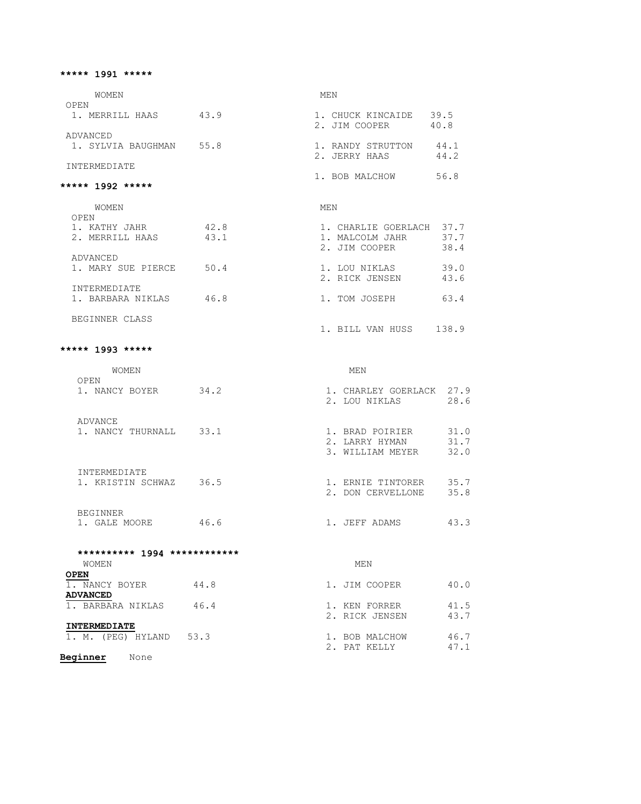#### **\*\*\*\*\* 1991 \*\*\*\*\***

WOMEN MEN OPEN 1. MERRILL HAAS 43.9 1. CHUCK KINCAIDE 39.5 ADVANCED 1. SYLVIA BAUGHMAN 55.8

INTERMEDIATE

#### **\*\*\*\*\* 1992 \*\*\*\*\***

| WOMEN               |      | MEN                         |
|---------------------|------|-----------------------------|
| OPEN                |      |                             |
| KATHY JAHR          | 42.8 | 37.7<br>1. CHARLIE GOERLACH |
| 2. MERRILL HAAS     | 43.1 | 37.7<br>1. MALCOLM JAHR     |
|                     |      | 38.4<br>2. JIM COOPER       |
| ADVANCED            |      |                             |
| 1. MARY SUE PIERCE  | 50.4 | 39.0<br>1. LOU NIKLAS       |
|                     |      | 43.6<br>2. RICK JENSEN      |
| <b>INTERMEDIATE</b> |      |                             |
| 1. BARBARA NIKLAS   | 46.8 | 63.4<br>1. TOM JOSEPH       |
|                     |      |                             |
| BEGINNER CLASS      |      |                             |

2. JIM COOPER 40.8

1. RANDY STRUTTON 44.1<br>2. JERRY HAAS 44.2

1. BOB MALCHOW 56.8

1. BILL VAN HUSS 138.9

#### **\*\*\*\*\* 1993 \*\*\*\*\***

| <b>WOMEN</b>      |      |     | MEN                                          |                      |
|-------------------|------|-----|----------------------------------------------|----------------------|
| OPEN              |      |     |                                              |                      |
| NANCY BOYER       | 34.2 |     | CHARLEY GOERLACK<br>2. LOU NIKLAS            | 27.9<br>28.6         |
| ADVANCE           |      |     |                                              |                      |
| NANCY THURNALL    | 33.1 | 3.  | BRAD POIRIER<br>LARRY HYMAN<br>WILLIAM MEYER | 31.0<br>31.7<br>32.0 |
| INTERMEDIATE      |      |     |                                              |                      |
| 1. KRISTIN SCHWAZ | 36.5 | 2.1 | ERNIE TINTORER<br>DON CERVELLONE             | 35.7<br>35.8         |
| <b>BEGINNER</b>   |      |     |                                              |                      |
| GALE MOORE        | 46.6 |     | JEFF ADAMS                                   | 43.3                 |

#### **\*\*\*\*\*\*\*\*\*\* 1994 \*\*\*\*\*\*\*\*\*\*\*\***  WOMEN MEN **OPEN**  1. NANCY BOYER 44.8 1. JIM COOPER 40.0 **ADVANCED**<br>1. BARBARA NIKLAS 46.4 1. BARBARA NIKLAS 46.4 1. KEN FORRER 41.5 2. RICK JENSEN 43.7 **INTERMEDIATE**<br>1. M. (PEG) HYLAND 53.3 1. M. (PEG) HYLAND 53.3 1. BOB MALCHOW 46.7 **2. PAT KELLY** 47.1

**Beginner** None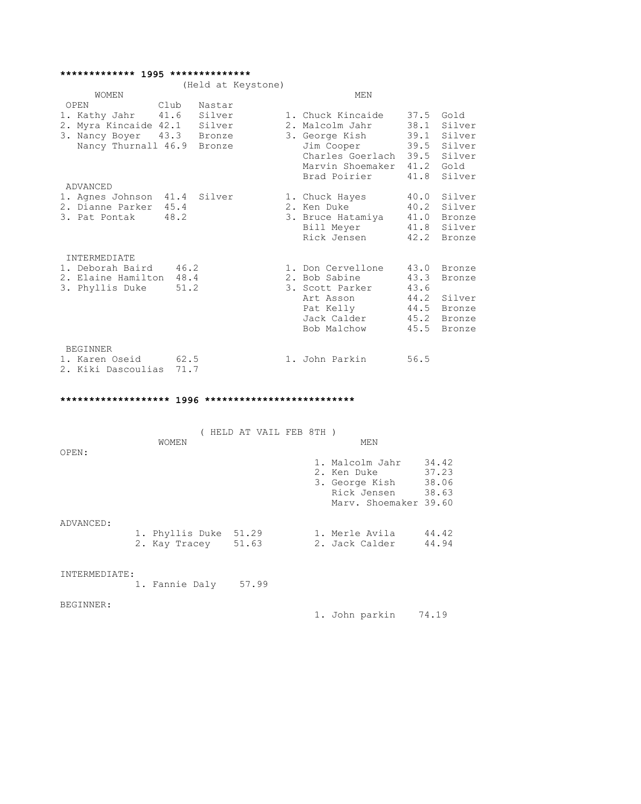#### **\*\*\*\*\*\*\*\*\*\*\*\*\* 1995 \*\*\*\*\*\*\*\*\*\*\*\*\*\***

|                                                                                                                       |              | (Held at Keystone) |                                                                                                                                   |                                              |                                                                    |
|-----------------------------------------------------------------------------------------------------------------------|--------------|--------------------|-----------------------------------------------------------------------------------------------------------------------------------|----------------------------------------------|--------------------------------------------------------------------|
| WOMEN                                                                                                                 |              |                    | MEN                                                                                                                               |                                              |                                                                    |
| Club<br>OPEN                                                                                                          |              | Nastar             |                                                                                                                                   |                                              |                                                                    |
| 1. Kathy Jahr 41.6 Silver<br>2. Myra Kincaide 42.1 Silver<br>3. Nancy Boyer 43.3 Bronze<br>Nancy Thurnall 46.9 Bronze |              |                    | 1. Chuck Kincaide<br>2. Malcolm Jahr<br>3. George Kish<br>Jim Cooper<br>Charles Goerlach<br>Marvin Shoemaker 41.2<br>Brad Poirier | 37.5<br>38.1<br>39.1<br>39.5<br>39.5<br>41.8 | Gold<br>Silver<br>Silver<br>Silver<br>Silver<br>Gold<br>Silver     |
| ADVANCED<br>1. Agnes Johnson 41.4 Silver<br>2. Dianne Parker 45.4<br>3. Pat Pontak 48.2                               |              |                    | 1. Chuck Hayes<br>2. Ken Duke<br>3. Bruce Hatamiya<br>Bill Meyer 41.8<br>Rick Jensen                                              | 40.0<br>40.2<br>42.2                         | Silver<br>Silver<br>41.0 Bronze<br>Silver<br>Bronze                |
| INTERMEDIATE                                                                                                          |              |                    |                                                                                                                                   |                                              |                                                                    |
| 1. Deborah Baird<br>2. Elaine Hamilton 48.4<br>3. Phyllis Duke                                                        | 46.2<br>51.2 |                    | 1. Don Cervellone<br>2. Bob Sabine<br>3. Scott Parker<br>Art Asson<br>Pat Kelly<br>Jack Calder<br>Bob Malchow                     | 43.3<br>43.6<br>44.2<br>45.2<br>45.5         | 43.0 Bronze<br>Bronze<br>Silver<br>44.5 Bronze<br>Bronze<br>Bronze |
| <b>BEGINNER</b>                                                                                                       |              |                    |                                                                                                                                   |                                              |                                                                    |
| 1. Karen Oseid<br>2. Kiki Dascoulias 71.7                                                                             | 62.5         |                    | 1. John Parkin                                                                                                                    | 56.5                                         |                                                                    |

# **\*\*\*\*\*\*\*\*\*\*\*\*\*\*\*\*\*\*\* 1996 \*\*\*\*\*\*\*\*\*\*\*\*\*\*\*\*\*\*\*\*\*\*\*\*\*\***

|               |                                              | HELD AT VAIL FEB 8TH) |  |                                                                                          |                                  |
|---------------|----------------------------------------------|-----------------------|--|------------------------------------------------------------------------------------------|----------------------------------|
|               | WOMEN                                        |                       |  | MEN                                                                                      |                                  |
| OPEN:         |                                              |                       |  | 1. Malcolm Jahr<br>2. Ken Duke<br>3. George Kish<br>Rick Jensen<br>Mary. Shoemaker 39.60 | 34.42<br>37.23<br>38.06<br>38.63 |
| ADVANCED:     | 1. Phyllis Duke 51.29<br>2. Kay Tracey 51.63 |                       |  | 1. Merle Avila<br>2. Jack Calder                                                         | 44.42<br>44.94                   |
| INTERMEDIATE: | 1. Fannie Daly 57.99                         |                       |  |                                                                                          |                                  |
| BEGINNER:     |                                              |                       |  | 1. John parkin                                                                           | 74.19                            |